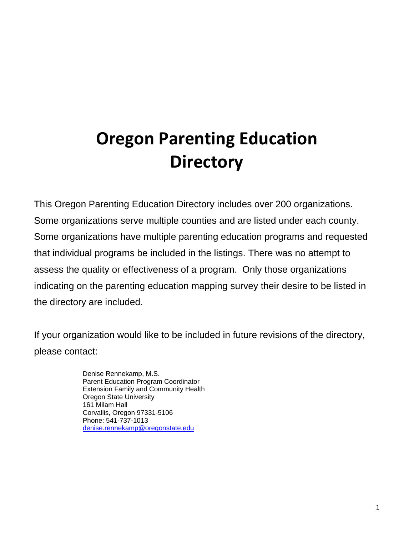# **Oregon Parenting Education Directory**

This Oregon Parenting Education Directory includes over 200 organizations. Some organizations serve multiple counties and are listed under each county. Some organizations have multiple parenting education programs and requested that individual programs be included in the listings. There was no attempt to assess the quality or effectiveness of a program. Only those organizations indicating on the parenting education mapping survey their desire to be listed in the directory are included.

If your organization would like to be included in future revisions of the directory, please contact:

> Denise Rennekamp, M.S. Parent Education Program Coordinator Extension Family and Community Health Oregon State University 161 Milam Hall Corvallis, Oregon 97331-5106 Phone: 541-737-1013 denise.rennekamp@oregonstate.edu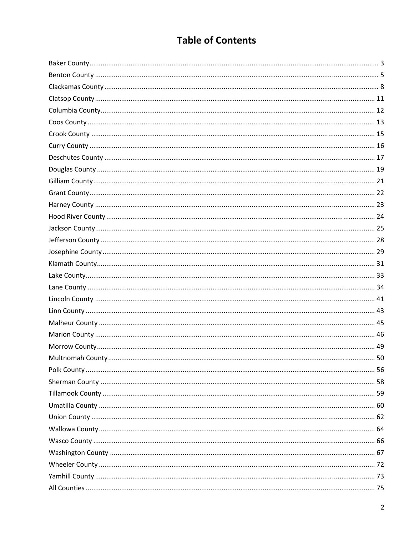# **Table of Contents**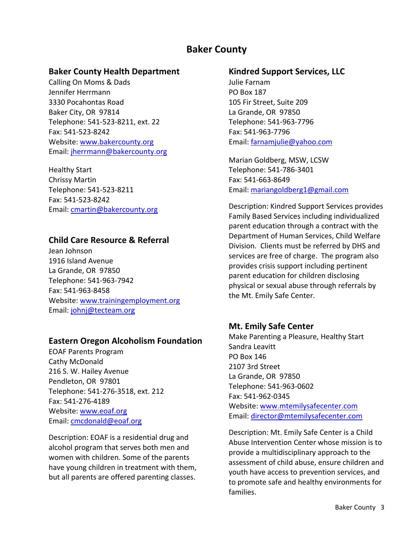# **Baker County**

#### **Baker County Health Department**

Calling On Moms & Dads Jennifer Herrmann 3330 Pocahontas Road Baker City, OR 97814 Telephone: 541‐523‐8211, ext. 22 Fax: 541‐523‐8242 Website: www.bakercounty.org Email: jherrmann@bakercounty.org

Healthy Start Chrissy Martin Telephone: 541‐523‐8211 Fax: 541‐523‐8242 Email: cmartin@bakercounty.org

#### **Child Care Resource & Referral**

Jean Johnson 1916 Island Avenue La Grande, OR 97850 Telephone: 541‐963‐7942 Fax: 541‐963‐8458 Website: www.trainingemployment.org Email: johnj@tecteam.org

#### **Eastern Oregon Alcoholism Foundation**

EOAF Parents Program Cathy McDonald 216 S. W. Hailey Avenue Pendleton, OR 97801 Telephone: 541‐276‐3518, ext. 212 Fax: 541‐276‐4189 Website: www.eoaf.org Email: cmcdonald@eoaf.org

Description: EOAF is a residential drug and alcohol program that serves both men and women with children. Some of the parents have young children in treatment with them, but all parents are offered parenting classes.

#### **Kindred Support Services, LLC**

Julie Farnam PO Box 187 105 Fir Street, Suite 209 La Grande, OR 97850 Telephone: 541‐963‐7796 Fax: 541‐963‐7796 Email: farnamjulie@yahoo.com

Marian Goldberg, MSW, LCSW Telephone: 541‐786‐3401 Fax: 541‐663‐8649 Email: mariangoldberg1@gmail.com

Description: Kindred Support Services provides Family Based Services including individualized parent education through a contract with the Department of Human Services, Child Welfare Division. Clients must be referred by DHS and services are free of charge. The program also provides crisis support including pertinent parent education for children disclosing physical or sexual abuse through referrals by the Mt. Emily Safe Center.

#### **Mt. Emily Safe Center**

Make Parenting a Pleasure, Healthy Start Sandra Leavitt PO Box 146 2107 3rd Street La Grande, OR 97850 Telephone: 541‐963‐0602 Fax: 541‐962‐0345 Website: www.mtemilysafecenter.com Email: director@mtemilysafecenter.com

Description: Mt. Emily Safe Center is a Child Abuse Intervention Center whose mission is to provide a multidisciplinary approach to the assessment of child abuse, ensure children and youth have access to prevention services, and to promote safe and healthy environments for families.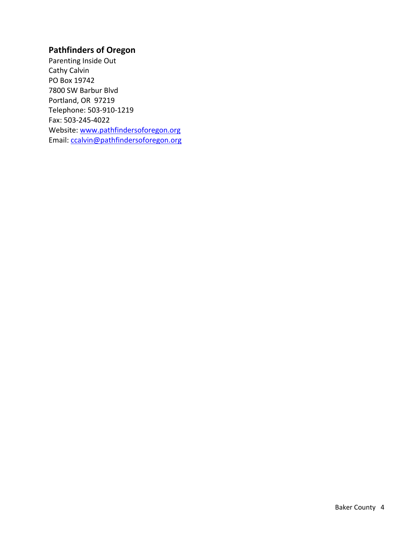# **Pathfinders of Oregon**

Parenting Inside Out Cathy Calvin PO Box 19742 7800 SW Barbur Blvd Portland, OR 97219 Telephone: 503‐910‐1219 Fax: 503‐245‐4022 Website: www.pathfindersoforegon.org Email: ccalvin@pathfindersoforegon.org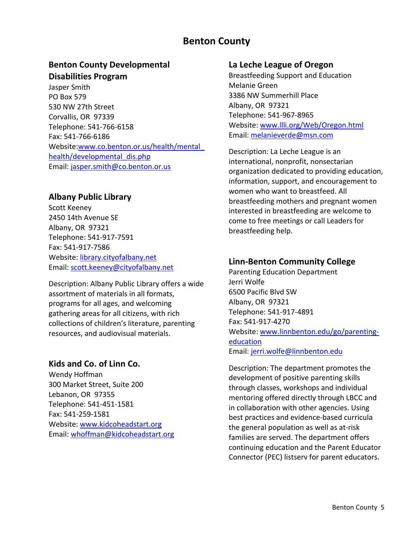# **Benton County**

# **Benton County Developmental Disabilities Program**

Jasper Smith PO Box 579 530 NW 27th Street Corvallis, OR 97339 Telephone: 541‐766‐6158 Fax: 541‐766‐6186 Website:www.co.benton.or.us/health/mental\_ health/developmental\_dis.php Email: jasper.smith@co.benton.or.us

#### **Albany Public Library**

Scott Keeney 2450 14th Avenue SE Albany, OR 97321 Telephone: 541‐917‐7591 Fax: 541‐917‐7586 Website: library.cityofalbany.net Email: scott.keeney@cityofalbany.net

Description: Albany Public Library offers a wide assortment of materials in all formats, programs for all ages, and welcoming gathering areas for all citizens, with rich collections of children's literature, parenting resources, and audiovisual materials.

#### **Kids and Co. of Linn Co.**

Wendy Hoffman 300 Market Street, Suite 200 Lebanon, OR 97355 Telephone: 541‐451‐1581 Fax: 541‐259‐1581 Website: www.kidcoheadstart.org Email: whoffman@kidcoheadstart.org

#### **La Leche League of Oregon**

Breastfeeding Support and Education Melanie Green 3386 NW Summerhill Place Albany, OR 97321 Telephone: 541‐967‐8965 Website: www.llli.org/Web/Oregon.html Email: melanieverde@msn.com

Description: La Leche League is an international, nonprofit, nonsectarian organization dedicated to providing education, information, support, and encouragement to women who want to breastfeed. All breastfeeding mothers and pregnant women interested in breastfeeding are welcome to come to free meetings or call Leaders for breastfeeding help.

#### **Linn‐Benton Community College**

Parenting Education Department Jerri Wolfe 6500 Pacific Blvd SW Albany, OR 97321 Telephone: 541‐917‐4891 Fax: 541‐917‐4270 Website: www.linnbenton.edu/go/parenting‐ education Email: jerri.wolfe@linnbenton.edu

Description: The department promotes the development of positive parenting skills through classes, workshops and individual mentoring offered directly through LBCC and in collaboration with other agencies. Using best practices and evidence‐based curricula the general population as well as at‐risk families are served. The department offers continuing education and the Parent Educator Connector (PEC) listserv for parent educators.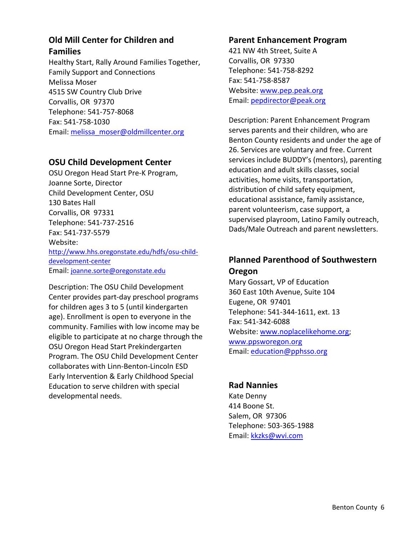# **Old Mill Center for Children and Families**

Healthy Start, Rally Around Families Together, Family Support and Connections Melissa Moser 4515 SW Country Club Drive Corvallis, OR 97370 Telephone: 541‐757‐8068 Fax: 541‐758‐1030 Email: melissa\_moser@oldmillcenter.org

#### **OSU Child Development Center**

OSU Oregon Head Start Pre‐K Program, Joanne Sorte, Director Child Development Center, OSU 130 Bates Hall Corvallis, OR 97331 Telephone: 541‐737‐2516 Fax: 541‐737‐5579 Website: http://www.hhs.oregonstate.edu/hdfs/osu‐child‐ development‐center Email: joanne.sorte@oregonstate.edu

Description: The OSU Child Development Center provides part‐day preschool programs for children ages 3 to 5 (until kindergarten age). Enrollment is open to everyone in the community. Families with low income may be eligible to participate at no charge through the OSU Oregon Head Start Prekindergarten Program. The OSU Child Development Center collaborates with Linn‐Benton‐Lincoln ESD Early Intervention & Early Childhood Special Education to serve children with special developmental needs.

#### **Parent Enhancement Program**

421 NW 4th Street, Suite A Corvallis, OR 97330 Telephone: 541‐758‐8292 Fax: 541‐758‐8587 Website: www.pep.peak.org Email: pepdirector@peak.org

Description: Parent Enhancement Program serves parents and their children, who are Benton County residents and under the age of 26. Services are voluntary and free. Current services include BUDDY's (mentors), parenting education and adult skills classes, social activities, home visits, transportation, distribution of child safety equipment, educational assistance, family assistance, parent volunteerism, case support, a supervised playroom, Latino Family outreach, Dads/Male Outreach and parent newsletters.

# **Planned Parenthood of Southwestern Oregon**

Mary Gossart, VP of Education 360 East 10th Avenue, Suite 104 Eugene, OR 97401 Telephone: 541‐344‐1611, ext. 13 Fax: 541‐342‐6088 Website: www.noplacelikehome.org; www.ppsworegon.org Email: education@pphsso.org

#### **Rad Nannies**

Kate Denny 414 Boone St. Salem, OR 97306 Telephone: 503‐365‐1988 Email: kkzks@wvi.com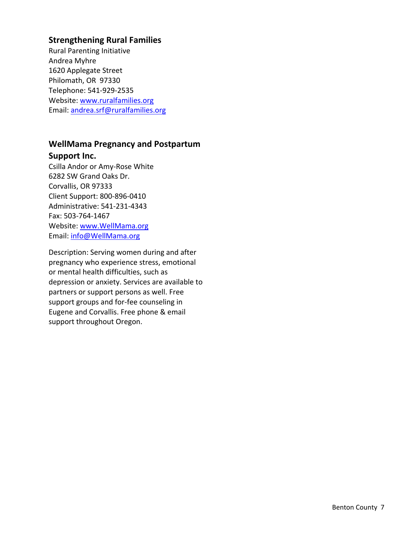# **Strengthening Rural Families**

Rural Parenting Initiative Andrea Myhre 1620 Applegate Street Philomath, OR 97330 Telephone: 541‐929‐2535 Website: www.ruralfamilies.org Email: andrea.srf@ruralfamilies.org

# **WellMama Pregnancy and Postpartum Support Inc.**

Csilla Andor or Amy‐Rose White 6282 SW Grand Oaks Dr. Corvallis, OR 97333 Client Support: 800‐896‐0410 Administrative: 541‐231‐4343 Fax: 503‐764‐1467 Website: www.WellMama.org Email: info@WellMama.org

Description: Serving women during and after pregnancy who experience stress, emotional or mental health difficulties, such as depression or anxiety. Services are available to partners or support persons as well. Free support groups and for‐fee counseling in Eugene and Corvallis. Free phone & email support throughout Oregon.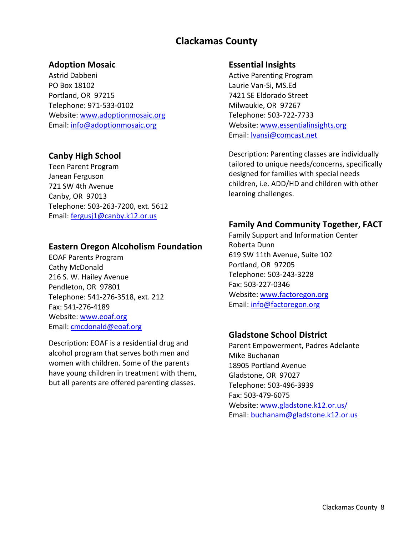# **Clackamas County**

#### **Adoption Mosaic**

Astrid Dabbeni PO Box 18102 Portland, OR 97215 Telephone: 971‐533‐0102 Website: www.adoptionmosaic.org Email: info@adoptionmosaic.org

#### **Canby High School**

Teen Parent Program Janean Ferguson 721 SW 4th Avenue Canby, OR 97013 Telephone: 503‐263‐7200, ext. 5612 Email: fergusj1@canby.k12.or.us

#### **Eastern Oregon Alcoholism Foundation**

EOAF Parents Program Cathy McDonald 216 S. W. Hailey Avenue Pendleton, OR 97801 Telephone: 541‐276‐3518, ext. 212 Fax: 541‐276‐4189 Website: www.eoaf.org Email: cmcdonald@eoaf.org

Description: EOAF is a residential drug and alcohol program that serves both men and women with children. Some of the parents have young children in treatment with them, but all parents are offered parenting classes.

#### **Essential Insights**

Active Parenting Program Laurie Van‐Si, MS.Ed 7421 SE Eldorado Street Milwaukie, OR 97267 Telephone: 503‐722‐7733 Website: www.essentialinsights.org Email: lvansi@comcast.net

Description: Parenting classes are individually tailored to unique needs/concerns, specifically designed for families with special needs children, i.e. ADD/HD and children with other learning challenges.

#### **Family And Community Together, FACT**

Family Support and Information Center Roberta Dunn 619 SW 11th Avenue, Suite 102 Portland, OR 97205 Telephone: 503‐243‐3228 Fax: 503‐227‐0346 Website: www.factoregon.org Email: info@factoregon.org

#### **Gladstone School District**

Parent Empowerment, Padres Adelante Mike Buchanan 18905 Portland Avenue Gladstone, OR 97027 Telephone: 503‐496‐3939 Fax: 503‐479‐6075 Website: www.gladstone.k12.or.us/ Email: buchanam@gladstone.k12.or.us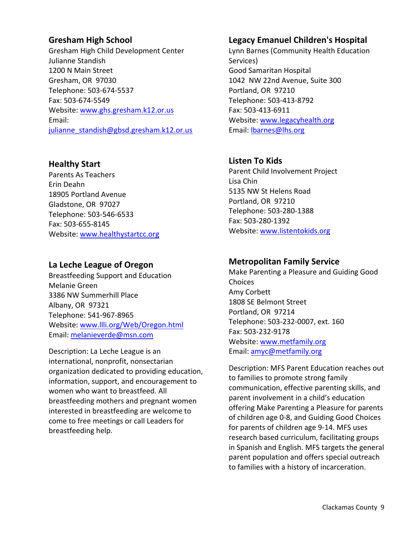### **Gresham High School**

Gresham High Child Development Center Julianne Standish 1200 N Main Street Gresham, OR 97030 Telephone: 503‐674‐5537 Fax: 503‐674‐5549 Website: www.ghs.gresham.k12.or.us Email: julianne standish@gbsd.gresham.k12.or.us

# **Healthy Start**

Parents As Teachers Erin Deahn 18905 Portland Avenue Gladstone, OR 97027 Telephone: 503‐546‐6533 Fax: 503‐655‐8145 Website: www.healthystartcc.org

#### **La Leche League of Oregon**

Breastfeeding Support and Education Melanie Green 3386 NW Summerhill Place Albany, OR 97321 Telephone: 541‐967‐8965 Website: www.llli.org/Web/Oregon.html Email: melanieverde@msn.com

Description: La Leche League is an international, nonprofit, nonsectarian organization dedicated to providing education, information, support, and encouragement to women who want to breastfeed. All breastfeeding mothers and pregnant women interested in breastfeeding are welcome to come to free meetings or call Leaders for breastfeeding help.

# **Legacy Emanuel Children's Hospital**

Lynn Barnes (Community Health Education Services) Good Samaritan Hospital 1042 NW 22nd Avenue, Suite 300 Portland, OR 97210 Telephone: 503‐413‐8792 Fax: 503‐413‐6911 Website: www.legacyhealth.org Email: lbarnes@lhs.org

# **Listen To Kids**

Parent Child Involvement Project Lisa Chin 5135 NW St Helens Road Portland, OR 97210 Telephone: 503‐280‐1388 Fax: 503‐280‐1392 Website: www.listentokids.org

# **Metropolitan Family Service**

Make Parenting a Pleasure and Guiding Good Choices Amy Corbett 1808 SE Belmont Street Portland, OR 97214 Telephone: 503‐232‐0007, ext. 160 Fax: 503‐232‐9178 Website: www.metfamily.org Email: amyc@metfamily.org

Description: MFS Parent Education reaches out to families to promote strong family communication, effective parenting skills, and parent involvement in a child's education offering Make Parenting a Pleasure for parents of children age 0‐8, and Guiding Good Choices for parents of children age 9‐14. MFS uses research based curriculum, facilitating groups in Spanish and English. MFS targets the general parent population and offers special outreach to families with a history of incarceration.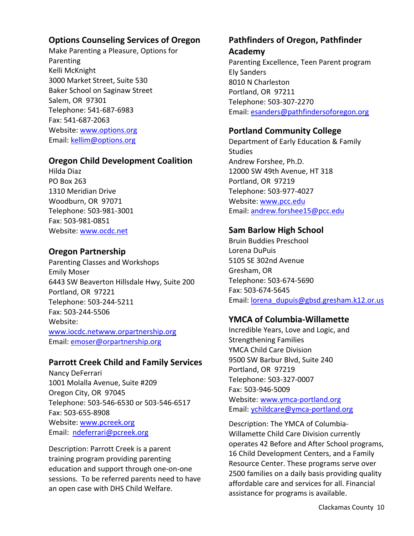### **Options Counseling Services of Oregon**

Make Parenting a Pleasure, Options for Parenting Kelli McKnight 3000 Market Street, Suite 530 Baker School on Saginaw Street Salem, OR 97301 Telephone: 541‐687‐6983 Fax: 541‐687‐2063 Website: www.options.org Email: kellim@options.org

#### **Oregon Child Development Coalition**

Hilda Diaz PO Box 263 1310 Meridian Drive Woodburn, OR 97071 Telephone: 503‐981‐3001 Fax: 503‐981‐0851 Website: www.ocdc.net

### **Oregon Partnership**

Parenting Classes and Workshops Emily Moser 6443 SW Beaverton Hillsdale Hwy, Suite 200 Portland, OR 97221 Telephone: 503‐244‐5211 Fax: 503‐244‐5506 Website: www.iocdc.netwww.orpartnership.org Email: emoser@orpartnership.org

#### **Parrott Creek Child and Family Services**

Nancy DeFerrari 1001 Molalla Avenue, Suite #209 Oregon City, OR 97045 Telephone: 503‐546‐6530 or 503‐546‐6517 Fax: 503‐655‐8908 Website: www.pcreek.org Email: ndeferrari@pcreek.org

Description: Parrott Creek is a parent training program providing parenting education and support through one‐on‐one sessions. To be referred parents need to have an open case with DHS Child Welfare.

# **Pathfinders of Oregon, Pathfinder**

**Academy** Parenting Excellence, Teen Parent program Ely Sanders 8010 N Charleston Portland, OR 97211 Telephone: 503‐307‐2270 Email: esanders@pathfindersoforegon.org

### **Portland Community College**

Department of Early Education & Family **Studies** Andrew Forshee, Ph.D. 12000 SW 49th Avenue, HT 318 Portland, OR 97219 Telephone: 503‐977‐4027 Website: www.pcc.edu Email: andrew.forshee15@pcc.edu

# **Sam Barlow High School**

Bruin Buddies Preschool Lorena DuPuis 5105 SE 302nd Avenue Gresham, OR Telephone: 503‐674‐5690 Fax: 503‐674‐5645 Email: lorena\_dupuis@gbsd.gresham.k12.or.us

# **YMCA of Columbia‐Willamette**

Incredible Years, Love and Logic, and Strengthening Families YMCA Child Care Division 9500 SW Barbur Blvd, Suite 240 Portland, OR 97219 Telephone: 503‐327‐0007 Fax: 503‐946‐5009 Website: www.ymca‐portland.org Email: ychildcare@ymca‐portland.org

Description: The YMCA of Columbia‐ Willamette Child Care Division currently operates 42 Before and After School programs, 16 Child Development Centers, and a Family Resource Center. These programs serve over 2500 families on a daily basis providing quality affordable care and services for all. Financial assistance for programs is available.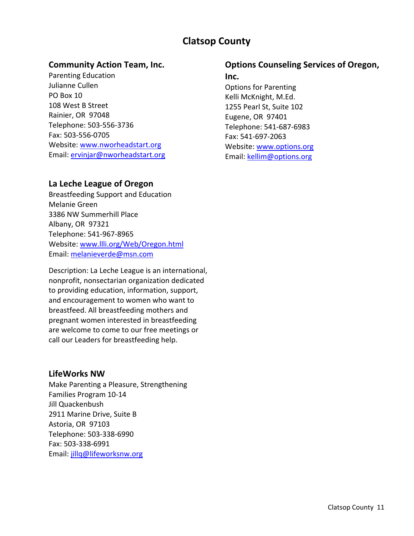# **Clatsop County**

#### **Community Action Team, Inc.**

Parenting Education Julianne Cullen PO Box 10 108 West B Street Rainier, OR 97048 Telephone: 503‐556‐3736 Fax: 503‐556‐0705 Website: www.nworheadstart.org Email: ervinjar@nworheadstart.org

#### **La Leche League of Oregon**

Breastfeeding Support and Education Melanie Green 3386 NW Summerhill Place Albany, OR 97321 Telephone: 541‐967‐8965 Website: www.llli.org/Web/Oregon.html Email: melanieverde@msn.com

Description: La Leche League is an international, nonprofit, nonsectarian organization dedicated to providing education, information, support, and encouragement to women who want to breastfeed. All breastfeeding mothers and pregnant women interested in breastfeeding are welcome to come to our free meetings or call our Leaders for breastfeeding help.

#### **LifeWorks NW**

Make Parenting a Pleasure, Strengthening Families Program 10‐14 Jill Quackenbush 2911 Marine Drive, Suite B Astoria, OR 97103 Telephone: 503‐338‐6990 Fax: 503‐338‐6991 Email: jillq@lifeworksnw.org

#### **Options Counseling Services of Oregon,**

#### **Inc.**

Options for Parenting Kelli McKnight, M.Ed. 1255 Pearl St, Suite 102 Eugene, OR 97401 Telephone: 541‐687‐6983 Fax: 541‐697‐2063 Website: www.options.org Email: kellim@options.org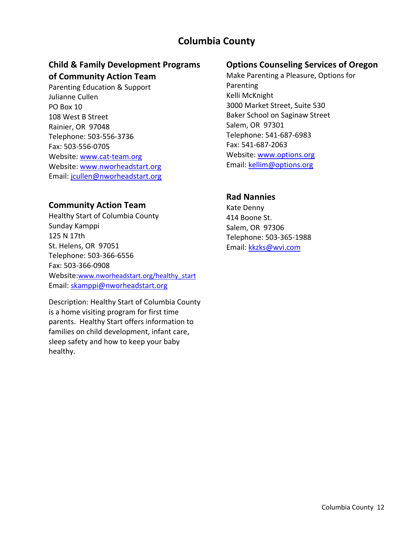# **Columbia County**

# **Child & Family Development Programs of Community Action Team**

Parenting Education & Support Julianne Cullen PO Box 10 108 West B Street Rainier, OR 97048 Telephone: 503‐556‐3736 Fax: 503‐556‐0705 Website: www.cat-team.org Website: www.nworheadstart.org Email: jcullen@nworheadstart.org

#### **Community Action Team**

Healthy Start of Columbia County Sunday Kamppi 125 N 17th St. Helens, OR 97051 Telephone: 503‐366‐6556 Fax: 503‐366‐0908 Website:www.nworheadstart.org/healthy\_start Email: skamppi@nworheadstart.org

Description: Healthy Start of Columbia County is a home visiting program for first time parents. Healthy Start offers information to families on child development, infant care, sleep safety and how to keep your baby healthy.

#### **Options Counseling Services of Oregon**

Make Parenting a Pleasure, Options for Parenting Kelli McKnight 3000 Market Street, Suite 530 Baker School on Saginaw Street Salem, OR 97301 Telephone: 541‐687‐6983 Fax: 541‐687‐2063 Website: www.options.org Email: kellim@options.org

#### **Rad Nannies**

Kate Denny 414 Boone St. Salem, OR 97306 Telephone: 503‐365‐1988 Email: kkzks@wvi.com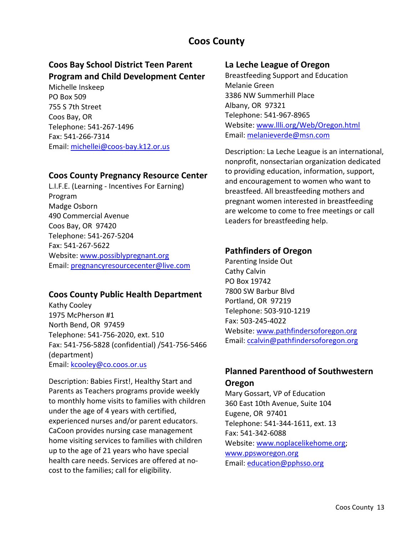# **Coos County**

# **Coos Bay School District Teen Parent Program and Child Development Center**

Michelle Inskeep PO Box 509 755 S 7th Street Coos Bay, OR Telephone: 541‐267‐1496 Fax: 541‐266‐7314 Email: michellei@coos‐bay.k12.or.us

#### **Coos County Pregnancy Resource Center**

L.I.F.E. (Learning ‐ Incentives For Earning) Program Madge Osborn 490 Commercial Avenue Coos Bay, OR 97420 Telephone: 541‐267‐5204 Fax: 541‐267‐5622 Website: www.possiblypregnant.org Email: pregnancyresourcecenter@live.com

#### **Coos County Public Health Department**

Kathy Cooley 1975 McPherson #1 North Bend, OR 97459 Telephone: 541‐756‐2020, ext. 510 Fax: 541‐756‐5828 (confidential) /541‐756‐5466 (department) Email: kcooley@co.coos.or.us

Description: Babies First!, Healthy Start and Parents as Teachers programs provide weekly to monthly home visits to families with children under the age of 4 years with certified, experienced nurses and/or parent educators. CaCoon provides nursing case management home visiting services to families with children up to the age of 21 years who have special health care needs. Services are offered at no‐ cost to the families; call for eligibility.

#### **La Leche League of Oregon**

Breastfeeding Support and Education Melanie Green 3386 NW Summerhill Place Albany, OR 97321 Telephone: 541‐967‐8965 Website: www.llli.org/Web/Oregon.html Email: melanieverde@msn.com

Description: La Leche League is an international, nonprofit, nonsectarian organization dedicated to providing education, information, support, and encouragement to women who want to breastfeed. All breastfeeding mothers and pregnant women interested in breastfeeding are welcome to come to free meetings or call Leaders for breastfeeding help.

#### **Pathfinders of Oregon**

Parenting Inside Out Cathy Calvin PO Box 19742 7800 SW Barbur Blvd Portland, OR 97219 Telephone: 503‐910‐1219 Fax: 503‐245‐4022 Website: www.pathfindersoforegon.org Email: ccalvin@pathfindersoforegon.org

# **Planned Parenthood of Southwestern Oregon**

Mary Gossart, VP of Education 360 East 10th Avenue, Suite 104 Eugene, OR 97401 Telephone: 541‐344‐1611, ext. 13 Fax: 541‐342‐6088 Website: www.noplacelikehome.org; www.ppsworegon.org Email: education@pphsso.org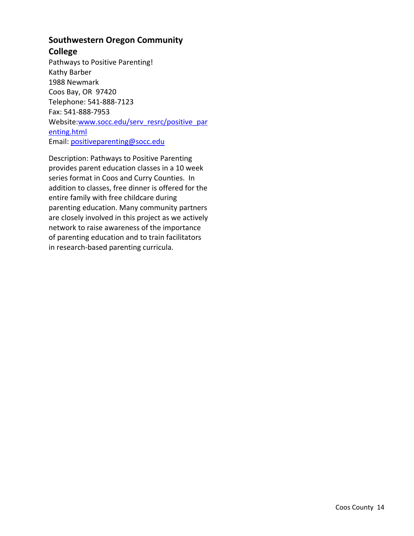# **Southwestern Oregon Community**

### **College**

Pathways to Positive Parenting! Kathy Barber 1988 Newmark Coos Bay, OR 97420 Telephone: 541‐888‐7123 Fax: 541‐888‐7953 Website:www.socc.edu/serv\_resrc/positive\_par enting.html Email: positiveparenting@socc.edu

Description: Pathways to Positive Parenting provides parent education classes in a 10 week series format in Coos and Curry Counties. In addition to classes, free dinner is offered for the entire family with free childcare during parenting education. Many community partners are closely involved in this project as we actively network to raise awareness of the importance of parenting education and to train facilitators in research‐based parenting curricula.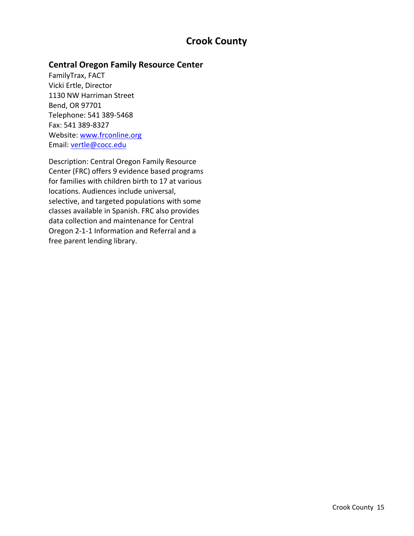# **Crook County**

# **Central Oregon Family Resource Center**

FamilyTrax, FACT Vicki Ertle, Director 1130 NW Harriman Street Bend, OR 97701 Telephone: 541 389‐5468 Fax: 541 389‐8327 Website: www.frconline.org Email: vertle@cocc.edu

Description: Central Oregon Family Resource Center (FRC) offers 9 evidence based programs for families with children birth to 17 at various locations. Audiences include universal, selective, and targeted populations with some classes available in Spanish. FRC also provides data collection and maintenance for Central Oregon 2‐1‐1 Information and Referral and a free parent lending library.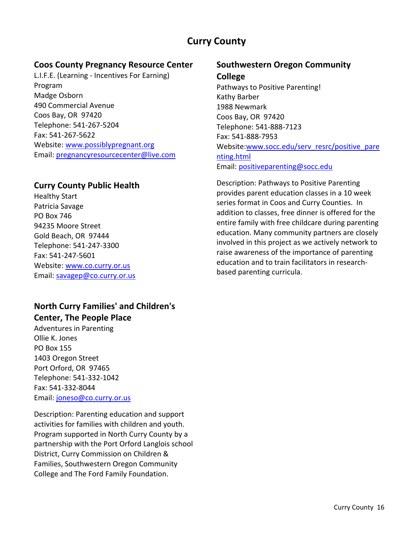# **Curry County**

### **Coos County Pregnancy Resource Center**

L.I.F.E. (Learning ‐ Incentives For Earning) Program Madge Osborn 490 Commercial Avenue Coos Bay, OR 97420 Telephone: 541‐267‐5204 Fax: 541‐267‐5622 Website: www.possiblypregnant.org Email: pregnancyresourcecenter@live.com

### **Curry County Public Health**

Healthy Start Patricia Savage PO Box 746 94235 Moore Street Gold Beach, OR 97444 Telephone: 541‐247‐3300 Fax: 541‐247‐5601 Website: www.co.curry.or.us Email: savagep@co.curry.or.us

# **North Curry Families' and Children's Center, The People Place**

Adventures in Parenting Ollie K. Jones PO Box 155 1403 Oregon Street Port Orford, OR 97465 Telephone: 541‐332‐1042 Fax: 541‐332‐8044 Email: joneso@co.curry.or.us

Description: Parenting education and support activities for families with children and youth. Program supported in North Curry County by a partnership with the Port Orford Langlois school District, Curry Commission on Children & Families, Southwestern Oregon Community College and The Ford Family Foundation.

# **Southwestern Oregon Community College**

Pathways to Positive Parenting! Kathy Barber 1988 Newmark Coos Bay, OR 97420 Telephone: 541‐888‐7123 Fax: 541‐888‐7953 Website:www.socc.edu/serv\_resrc/positive\_pare nting.html Email: positiveparenting@socc.edu

Description: Pathways to Positive Parenting provides parent education classes in a 10 week series format in Coos and Curry Counties. In addition to classes, free dinner is offered for the entire family with free childcare during parenting education. Many community partners are closely involved in this project as we actively network to raise awareness of the importance of parenting education and to train facilitators in research‐ based parenting curricula.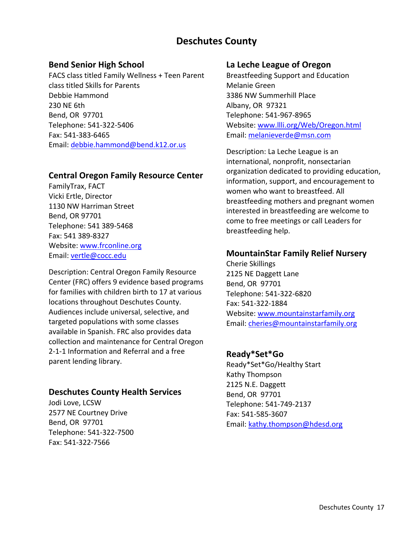# **Deschutes County**

### **Bend Senior High School**

FACS class titled Family Wellness + Teen Parent class titled Skills for Parents Debbie Hammond 230 NE 6th Bend, OR 97701 Telephone: 541‐322‐5406 Fax: 541‐383‐6465 Email: debbie.hammond@bend.k12.or.us

#### **Central Oregon Family Resource Center**

FamilyTrax, FACT Vicki Ertle, Director 1130 NW Harriman Street Bend, OR 97701 Telephone: 541 389‐5468 Fax: 541 389‐8327 Website: www.frconline.org Email: vertle@cocc.edu

Description: Central Oregon Family Resource Center (FRC) offers 9 evidence based programs for families with children birth to 17 at various locations throughout Deschutes County. Audiences include universal, selective, and targeted populations with some classes available in Spanish. FRC also provides data collection and maintenance for Central Oregon 2‐1‐1 Information and Referral and a free parent lending library.

# **Deschutes County Health Services**

Jodi Love, LCSW 2577 NE Courtney Drive Bend, OR 97701 Telephone: 541‐322‐7500 Fax: 541‐322‐7566

#### **La Leche League of Oregon**

Breastfeeding Support and Education Melanie Green 3386 NW Summerhill Place Albany, OR 97321 Telephone: 541‐967‐8965 Website: www.llli.org/Web/Oregon.html Email: melanieverde@msn.com

Description: La Leche League is an international, nonprofit, nonsectarian organization dedicated to providing education, information, support, and encouragement to women who want to breastfeed. All breastfeeding mothers and pregnant women interested in breastfeeding are welcome to come to free meetings or call Leaders for breastfeeding help.

### **MountainStar Family Relief Nursery**

Cherie Skillings 2125 NE Daggett Lane Bend, OR 97701 Telephone: 541‐322‐6820 Fax: 541‐322‐1884 Website: www.mountainstarfamily.org Email: cheries@mountainstarfamily.org

# **Ready\*Set\*Go**

Ready\*Set\*Go/Healthy Start Kathy Thompson 2125 N.E. Daggett Bend, OR 97701 Telephone: 541‐749‐2137 Fax: 541‐585‐3607 Email: kathy.thompson@hdesd.org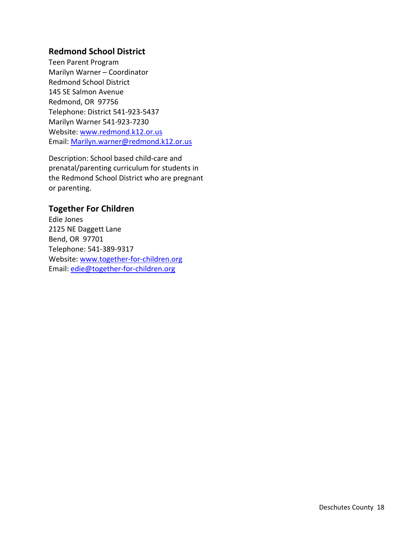#### **Redmond School District**

Teen Parent Program Marilyn Warner – Coordinator Redmond School District 145 SE Salmon Avenue Redmond, OR 97756 Telephone: District 541‐923‐5437 Marilyn Warner 541‐923‐7230 Website: www.redmond.k12.or.us Email: Marilyn.warner@redmond.k12.or.us

Description: School based child‐care and prenatal/parenting curriculum for students in the Redmond School District who are pregnant or parenting.

### **Together For Children**

Edie Jones 2125 NE Daggett Lane Bend, OR 97701 Telephone: 541‐389‐9317 Website: www.together-for-children.org Email: edie@together‐for‐children.org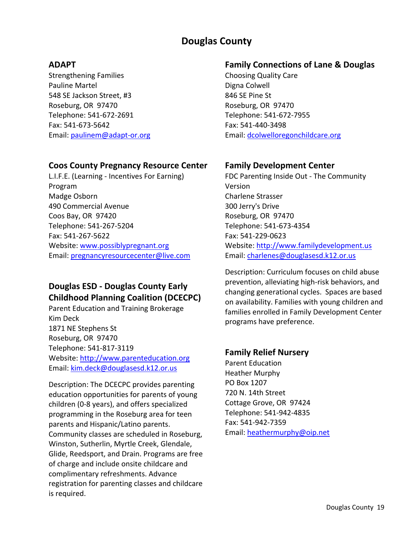# **Douglas County**

### **ADAPT**

Strengthening Families Pauline Martel 548 SE Jackson Street, #3 Roseburg, OR 97470 Telephone: 541‐672‐2691 Fax: 541‐673‐5642 Email: paulinem@adapt‐or.org

### **Coos County Pregnancy Resource Center**

L.I.F.E. (Learning ‐ Incentives For Earning) Program Madge Osborn 490 Commercial Avenue Coos Bay, OR 97420 Telephone: 541‐267‐5204 Fax: 541‐267‐5622 Website: www.possiblypregnant.org Email: pregnancyresourcecenter@live.com

# **Douglas ESD ‐ Douglas County Early Childhood Planning Coalition (DCECPC)**

Parent Education and Training Brokerage Kim Deck 1871 NE Stephens St Roseburg, OR 97470 Telephone: 541‐817‐3119 Website: http://www.parenteducation.org Email: kim.deck@douglasesd.k12.or.us

Description: The DCECPC provides parenting education opportunities for parents of young children (0‐8 years), and offers specialized programming in the Roseburg area for teen parents and Hispanic/Latino parents. Community classes are scheduled in Roseburg, Winston, Sutherlin, Myrtle Creek, Glendale, Glide, Reedsport, and Drain. Programs are free of charge and include onsite childcare and complimentary refreshments. Advance registration for parenting classes and childcare is required.

### **Family Connections of Lane & Douglas**

Choosing Quality Care Digna Colwell 846 SE Pine St Roseburg, OR 97470 Telephone: 541‐672‐7955 Fax: 541‐440‐3498 Email: dcolwelloregonchildcare.org

# **Family Development Center**

FDC Parenting Inside Out ‐ The Community Version Charlene Strasser 300 Jerry's Drive Roseburg, OR 97470 Telephone: 541‐673‐4354 Fax: 541‐229‐0623 Website: http://www.familydevelopment.us Email: charlenes@douglasesd.k12.or.us

Description: Curriculum focuses on child abuse prevention, alleviating high‐risk behaviors, and changing generational cycles. Spaces are based on availability. Families with young children and families enrolled in Family Development Center programs have preference.

# **Family Relief Nursery**

Parent Education Heather Murphy PO Box 1207 720 N. 14th Street Cottage Grove, OR 97424 Telephone: 541‐942‐4835 Fax: 541‐942‐7359 Email: heathermurphy@oip.net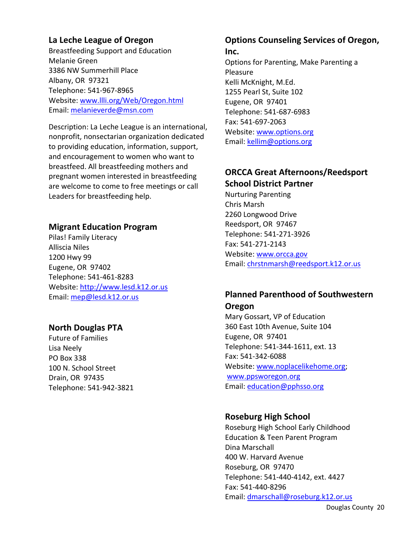### **La Leche League of Oregon**

Breastfeeding Support and Education Melanie Green 3386 NW Summerhill Place Albany, OR 97321 Telephone: 541‐967‐8965 Website: www.llli.org/Web/Oregon.html Email: melanieverde@msn.com

Description: La Leche League is an international, nonprofit, nonsectarian organization dedicated to providing education, information, support, and encouragement to women who want to breastfeed. All breastfeeding mothers and pregnant women interested in breastfeeding are welcome to come to free meetings or call Leaders for breastfeeding help.

#### **Migrant Education Program**

Pilas! Family Literacy Alliscia Niles 1200 Hwy 99 Eugene, OR 97402 Telephone: 541‐461‐8283 Website: http://www.lesd.k12.or.us Email: mep@lesd.k12.or.us

#### **North Douglas PTA**

Future of Families Lisa Neely PO Box 338 100 N. School Street Drain, OR 97435 Telephone: 541‐942‐3821

# **Options Counseling Services of Oregon,**

#### **Inc.**

Options for Parenting, Make Parenting a Pleasure Kelli McKnight, M.Ed. 1255 Pearl St, Suite 102 Eugene, OR 97401 Telephone: 541‐687‐6983 Fax: 541‐697‐2063 Website: www.options.org Email: kellim@options.org

# **ORCCA Great Afternoons/Reedsport School District Partner**

Nurturing Parenting Chris Marsh 2260 Longwood Drive Reedsport, OR 97467 Telephone: 541‐271‐3926 Fax: 541‐271‐2143 Website: www.orcca.gov Email: chrstnmarsh@reedsport.k12.or.us

# **Planned Parenthood of Southwestern Oregon**

Mary Gossart, VP of Education 360 East 10th Avenue, Suite 104 Eugene, OR 97401 Telephone: 541‐344‐1611, ext. 13 Fax: 541‐342‐6088 Website: www.noplacelikehome.org; www.ppsworegon.org Email: education@pphsso.org

#### **Roseburg High School**

Roseburg High School Early Childhood Education & Teen Parent Program Dina Marschall 400 W. Harvard Avenue Roseburg, OR 97470 Telephone: 541‐440‐4142, ext. 4427 Fax: 541‐440‐8296 Email: dmarschall@roseburg.k12.or.us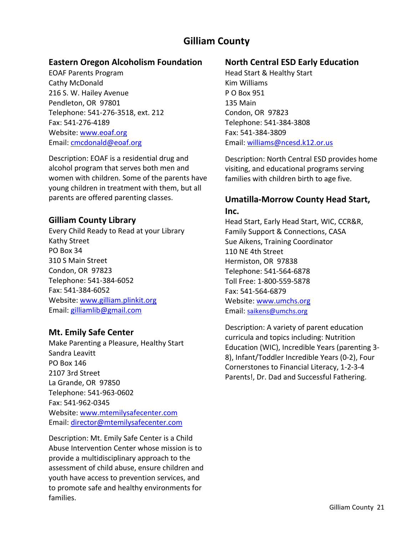# **Gilliam County**

#### **Eastern Oregon Alcoholism Foundation**

EOAF Parents Program Cathy McDonald 216 S. W. Hailey Avenue Pendleton, OR 97801 Telephone: 541‐276‐3518, ext. 212 Fax: 541‐276‐4189 Website: www.eoaf.org Email: cmcdonald@eoaf.org

Description: EOAF is a residential drug and alcohol program that serves both men and women with children. Some of the parents have young children in treatment with them, but all parents are offered parenting classes.

#### **Gilliam County Library**

Every Child Ready to Read at your Library Kathy Street PO Box 34 310 S Main Street Condon, OR 97823 Telephone: 541‐384‐6052 Fax: 541‐384‐6052 Website: www.gilliam.plinkit.org Email: gilliamlib@gmail.com

#### **Mt. Emily Safe Center**

Make Parenting a Pleasure, Healthy Start Sandra Leavitt PO Box 146 2107 3rd Street La Grande, OR 97850 Telephone: 541‐963‐0602 Fax: 541‐962‐0345 Website: www.mtemilysafecenter.com Email: director@mtemilysafecenter.com

Description: Mt. Emily Safe Center is a Child Abuse Intervention Center whose mission is to provide a multidisciplinary approach to the assessment of child abuse, ensure children and youth have access to prevention services, and to promote safe and healthy environments for families.

# **North Central ESD Early Education**

Head Start & Healthy Start Kim Williams P O Box 951 135 Main Condon, OR 97823 Telephone: 541‐384‐3808 Fax: 541‐384‐3809 Email: williams@ncesd.k12.or.us

Description: North Central ESD provides home visiting, and educational programs serving families with children birth to age five.

#### **Umatilla‐Morrow County Head Start, Inc.**

Head Start, Early Head Start, WIC, CCR&R, Family Support & Connections, CASA Sue Aikens, Training Coordinator 110 NE 4th Street Hermiston, OR 97838 Telephone: 541‐564‐6878 Toll Free: 1‐800‐559‐5878 Fax: 541‐564‐6879 Website: www.umchs.org Email: saikens@umchs.org

Description: A variety of parent education curricula and topics including: Nutrition Education (WIC), Incredible Years (parenting 3‐ 8), Infant/Toddler Incredible Years (0‐2), Four Cornerstones to Financial Literacy, 1‐2‐3‐4 Parents!, Dr. Dad and Successful Fathering.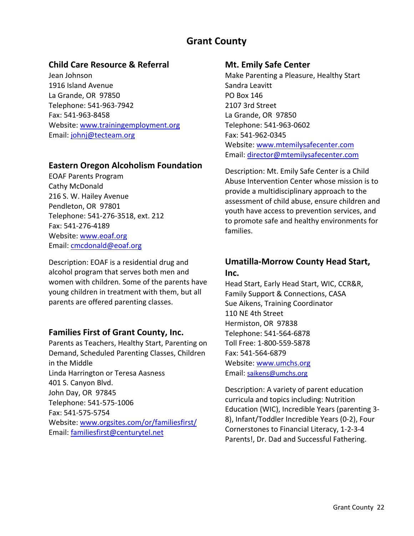# **Grant County**

#### **Child Care Resource & Referral**

Jean Johnson 1916 Island Avenue La Grande, OR 97850 Telephone: 541‐963‐7942 Fax: 541‐963‐8458 Website: www.trainingemployment.org Email: johnj@tecteam.org

#### **Eastern Oregon Alcoholism Foundation**

EOAF Parents Program Cathy McDonald 216 S. W. Hailey Avenue Pendleton, OR 97801 Telephone: 541‐276‐3518, ext. 212 Fax: 541‐276‐4189 Website: www.eoaf.org Email: cmcdonald@eoaf.org

Description: EOAF is a residential drug and alcohol program that serves both men and women with children. Some of the parents have young children in treatment with them, but all parents are offered parenting classes.

#### **Families First of Grant County, Inc.**

Parents as Teachers, Healthy Start, Parenting on Demand, Scheduled Parenting Classes, Children in the Middle Linda Harrington or Teresa Aasness 401 S. Canyon Blvd. John Day, OR 97845 Telephone: 541‐575‐1006 Fax: 541‐575‐5754 Website: www.orgsites.com/or/familiesfirst/ Email: familiesfirst@centurytel.net

#### **Mt. Emily Safe Center**

Make Parenting a Pleasure, Healthy Start Sandra Leavitt PO Box 146 2107 3rd Street La Grande, OR 97850 Telephone: 541‐963‐0602 Fax: 541‐962‐0345 Website: www.mtemilysafecenter.com Email: director@mtemilysafecenter.com

Description: Mt. Emily Safe Center is a Child Abuse Intervention Center whose mission is to provide a multidisciplinary approach to the assessment of child abuse, ensure children and youth have access to prevention services, and to promote safe and healthy environments for families.

# **Umatilla‐Morrow County Head Start, Inc.**

Head Start, Early Head Start, WIC, CCR&R, Family Support & Connections, CASA Sue Aikens, Training Coordinator 110 NE 4th Street Hermiston, OR 97838 Telephone: 541‐564‐6878 Toll Free: 1‐800‐559‐5878 Fax: 541‐564‐6879 Website: www.umchs.org Email: saikens@umchs.org

Description: A variety of parent education curricula and topics including: Nutrition Education (WIC), Incredible Years (parenting 3‐ 8), Infant/Toddler Incredible Years (0‐2), Four Cornerstones to Financial Literacy, 1‐2‐3‐4 Parents!, Dr. Dad and Successful Fathering.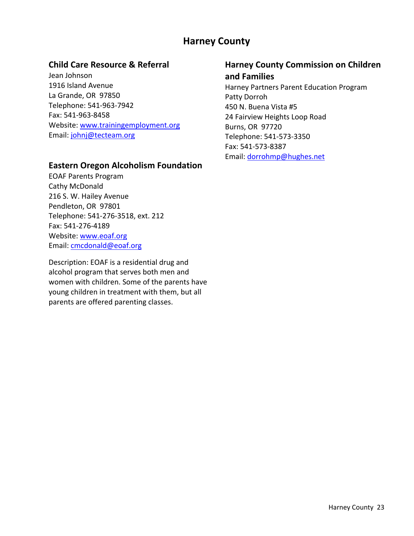# **Harney County**

#### **Child Care Resource & Referral**

Jean Johnson 1916 Island Avenue La Grande, OR 97850 Telephone: 541‐963‐7942 Fax: 541‐963‐8458 Website: www.trainingemployment.org Email: johnj@tecteam.org

#### **Eastern Oregon Alcoholism Foundation**

EOAF Parents Program Cathy McDonald 216 S. W. Hailey Avenue Pendleton, OR 97801 Telephone: 541‐276‐3518, ext. 212 Fax: 541‐276‐4189 Website: www.eoaf.org Email: cmcdonald@eoaf.org

Description: EOAF is a residential drug and alcohol program that serves both men and women with children. Some of the parents have young children in treatment with them, but all parents are offered parenting classes.

#### **Harney County Commission on Children and Families**

Harney Partners Parent Education Program Patty Dorroh 450 N. Buena Vista #5 24 Fairview Heights Loop Road Burns, OR 97720 Telephone: 541‐573‐3350 Fax: 541‐573‐8387 Email: dorrohmp@hughes.net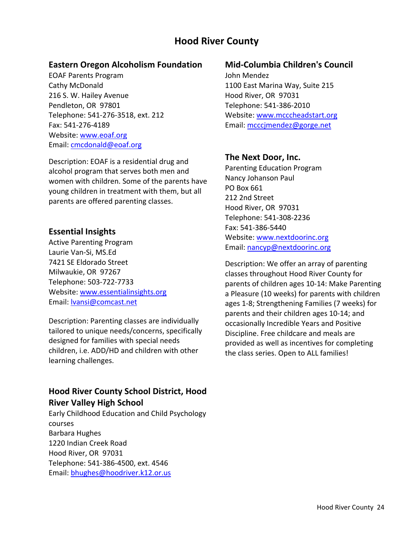# **Hood River County**

#### **Eastern Oregon Alcoholism Foundation**

EOAF Parents Program Cathy McDonald 216 S. W. Hailey Avenue Pendleton, OR 97801 Telephone: 541‐276‐3518, ext. 212 Fax: 541‐276‐4189 Website: www.eoaf.org Email: cmcdonald@eoaf.org

Description: EOAF is a residential drug and alcohol program that serves both men and women with children. Some of the parents have young children in treatment with them, but all parents are offered parenting classes.

#### **Essential Insights**

Active Parenting Program Laurie Van‐Si, MS.Ed 7421 SE Eldorado Street Milwaukie, OR 97267 Telephone: 503‐722‐7733 Website: www.essentialinsights.org Email: lvansi@comcast.net

Description: Parenting classes are individually tailored to unique needs/concerns, specifically designed for families with special needs children, i.e. ADD/HD and children with other learning challenges.

# **Hood River County School District, Hood River Valley High School**

Early Childhood Education and Child Psychology courses Barbara Hughes 1220 Indian Creek Road Hood River, OR 97031 Telephone: 541‐386‐4500, ext. 4546 Email: bhughes@hoodriver.k12.or.us

#### **Mid‐Columbia Children's Council**

John Mendez 1100 East Marina Way, Suite 215 Hood River, OR 97031 Telephone: 541‐386‐2010 Website: www.mcccheadstart.org Email: mcccjmendez@gorge.net

#### **The Next Door, Inc.**

Parenting Education Program Nancy Johanson Paul PO Box 661 212 2nd Street Hood River, OR 97031 Telephone: 541‐308‐2236 Fax: 541‐386‐5440 Website: www.nextdoorinc.org Email: nancyp@nextdoorinc.org

Description: We offer an array of parenting classes throughout Hood River County for parents of children ages 10‐14: Make Parenting a Pleasure (10 weeks) for parents with children ages 1‐8; Strengthening Families (7 weeks) for parents and their children ages 10‐14; and occasionally Incredible Years and Positive Discipline. Free childcare and meals are provided as well as incentives for completing the class series. Open to ALL families!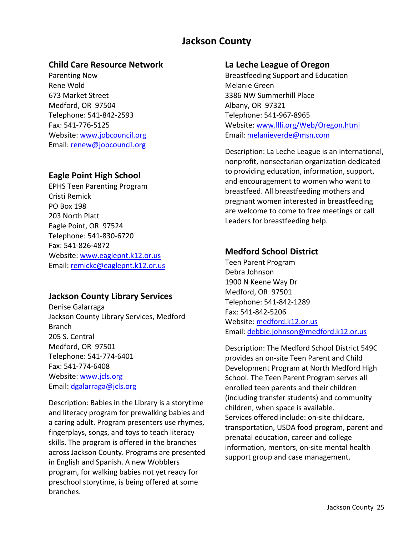# **Jackson County**

#### **Child Care Resource Network**

Parenting Now Rene Wold 673 Market Street Medford, OR 97504 Telephone: 541‐842‐2593 Fax: 541‐776‐5125 Website: www.jobcouncil.org Email: renew@jobcouncil.org

### **Eagle Point High School**

EPHS Teen Parenting Program Cristi Remick PO Box 198 203 North Platt Eagle Point, OR 97524 Telephone: 541‐830‐6720 Fax: 541‐826‐4872 Website: www.eaglepnt.k12.or.us Email: remickc@eaglepnt.k12.or.us

#### **Jackson County Library Services**

Denise Galarraga Jackson County Library Services, Medford Branch 205 S. Central Medford, OR 97501 Telephone: 541‐774‐6401 Fax: 541‐774‐6408 Website: www.jcls.org Email: dgalarraga@jcls.org

Description: Babies in the Library is a storytime and literacy program for prewalking babies and a caring adult. Program presenters use rhymes, fingerplays, songs, and toys to teach literacy skills. The program is offered in the branches across Jackson County. Programs are presented in English and Spanish. A new Wobblers program, for walking babies not yet ready for preschool storytime, is being offered at some branches.

#### **La Leche League of Oregon**

Breastfeeding Support and Education Melanie Green 3386 NW Summerhill Place Albany, OR 97321 Telephone: 541‐967‐8965 Website: www.llli.org/Web/Oregon.html Email: melanieverde@msn.com

Description: La Leche League is an international, nonprofit, nonsectarian organization dedicated to providing education, information, support, and encouragement to women who want to breastfeed. All breastfeeding mothers and pregnant women interested in breastfeeding are welcome to come to free meetings or call Leaders for breastfeeding help.

### **Medford School District**

Teen Parent Program Debra Johnson 1900 N Keene Way Dr Medford, OR 97501 Telephone: 541‐842‐1289 Fax: 541‐842‐5206 Website: medford.k12.or.us Email: debbie.johnson@medford.k12.or.us

Description: The Medford School District 549C provides an on‐site Teen Parent and Child Development Program at North Medford High School. The Teen Parent Program serves all enrolled teen parents and their children (including transfer students) and community children, when space is available. Services offered include: on‐site childcare, transportation, USDA food program, parent and prenatal education, career and college information, mentors, on‐site mental health support group and case management.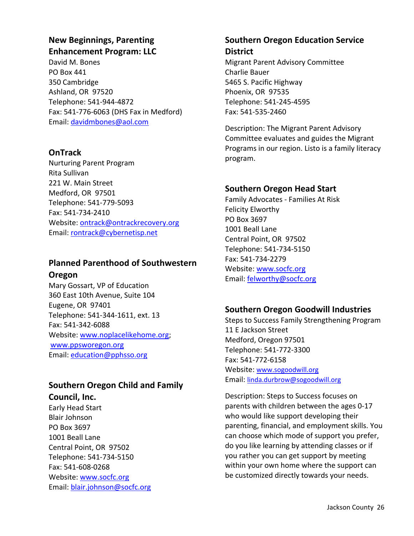# **New Beginnings, Parenting Enhancement Program: LLC**

David M. Bones PO Box 441 350 Cambridge Ashland, OR 97520 Telephone: 541‐944‐4872 Fax: 541‐776‐6063 (DHS Fax in Medford) Email: davidmbones@aol.com

# **OnTrack**

Nurturing Parent Program Rita Sullivan 221 W. Main Street Medford, OR 97501 Telephone: 541‐779‐5093 Fax: 541‐734‐2410 Website: ontrack@ontrackrecovery.org Email: rontrack@cybernetisp.net

# **Planned Parenthood of Southwestern Oregon**

Mary Gossart, VP of Education 360 East 10th Avenue, Suite 104 Eugene, OR 97401 Telephone: 541‐344‐1611, ext. 13 Fax: 541‐342‐6088 Website: www.noplacelikehome.org; www.ppsworegon.org Email: education@pphsso.org

# **Southern Oregon Child and Family Council, Inc.**

Early Head Start Blair Johnson PO Box 3697 1001 Beall Lane Central Point, OR 97502 Telephone: 541‐734‐5150 Fax: 541‐608‐0268 Website: www.socfc.org Email: blair.johnson@socfc.org

### **Southern Oregon Education Service District**

Migrant Parent Advisory Committee Charlie Bauer 5465 S. Pacific Highway Phoenix, OR 97535 Telephone: 541‐245‐4595 Fax: 541‐535‐2460

Description: The Migrant Parent Advisory Committee evaluates and guides the Migrant Programs in our region. Listo is a family literacy program.

# **Southern Oregon Head Start**

Family Advocates ‐ Families At Risk Felicity Elworthy PO Box 3697 1001 Beall Lane Central Point, OR 97502 Telephone: 541‐734‐5150 Fax: 541‐734‐2279 Website: www.socfc.org Email: felworthy@socfc.org

# **Southern Oregon Goodwill Industries**

Steps to Success Family Strengthening Program 11 E Jackson Street Medford, Oregon 97501 Telephone: 541‐772‐3300 Fax: 541‐772‐6158 Website: www.sogoodwill.org Email: linda.durbrow@sogoodwill.org

Description: Steps to Success focuses on parents with children between the ages 0‐17 who would like support developing their parenting, financial, and employment skills. You can choose which mode of support you prefer, do you like learning by attending classes or if you rather you can get support by meeting within your own home where the support can be customized directly towards your needs.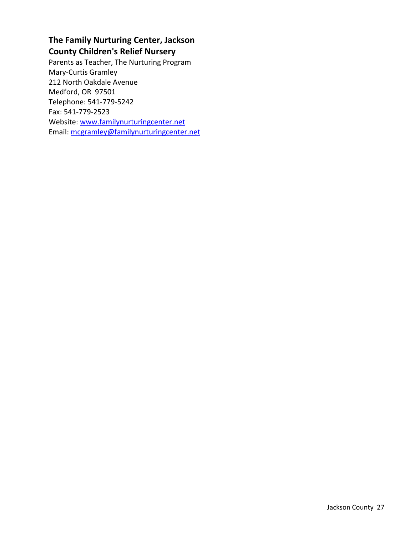# **The Family Nurturing Center, Jackson County Children's Relief Nursery**

Parents as Teacher, The Nurturing Program Mary‐Curtis Gramley 212 North Oakdale Avenue Medford, OR 97501 Telephone: 541‐779‐5242 Fax: 541‐779‐2523 Website: www.familynurturingcenter.net Email: mcgramley@familynurturingcenter.net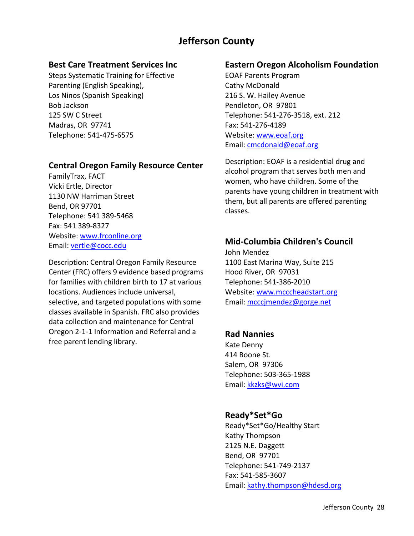# **Jefferson County**

#### **Best Care Treatment Services Inc**

Steps Systematic Training for Effective Parenting (English Speaking), Los Ninos (Spanish Speaking) Bob Jackson 125 SW C Street Madras, OR 97741 Telephone: 541‐475‐6575

#### **Central Oregon Family Resource Center**

FamilyTrax, FACT Vicki Ertle, Director 1130 NW Harriman Street Bend, OR 97701 Telephone: 541 389‐5468 Fax: 541 389‐8327 Website: www.frconline.org Email: vertle@cocc.edu

Description: Central Oregon Family Resource Center (FRC) offers 9 evidence based programs for families with children birth to 17 at various locations. Audiences include universal, selective, and targeted populations with some classes available in Spanish. FRC also provides data collection and maintenance for Central Oregon 2‐1‐1 Information and Referral and a free parent lending library.

#### **Eastern Oregon Alcoholism Foundation**

EOAF Parents Program Cathy McDonald 216 S. W. Hailey Avenue Pendleton, OR 97801 Telephone: 541‐276‐3518, ext. 212 Fax: 541‐276‐4189 Website: www.eoaf.org Email: cmcdonald@eoaf.org

Description: EOAF is a residential drug and alcohol program that serves both men and women, who have children. Some of the parents have young children in treatment with them, but all parents are offered parenting classes.

### **Mid‐Columbia Children's Council**

John Mendez 1100 East Marina Way, Suite 215 Hood River, OR 97031 Telephone: 541‐386‐2010 Website: www.mcccheadstart.org Email: mcccjmendez@gorge.net

#### **Rad Nannies**

Kate Denny 414 Boone St. Salem, OR 97306 Telephone: 503‐365‐1988 Email: kkzks@wvi.com

#### **Ready\*Set\*Go**

Ready\*Set\*Go/Healthy Start Kathy Thompson 2125 N.E. Daggett Bend, OR 97701 Telephone: 541‐749‐2137 Fax: 541‐585‐3607 Email: kathy.thompson@hdesd.org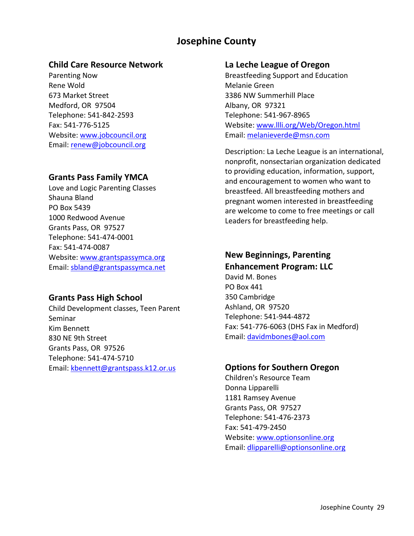# **Josephine County**

#### **Child Care Resource Network**

Parenting Now Rene Wold 673 Market Street Medford, OR 97504 Telephone: 541‐842‐2593 Fax: 541‐776‐5125 Website: www.jobcouncil.org Email: renew@jobcouncil.org

#### **Grants Pass Family YMCA**

Love and Logic Parenting Classes Shauna Bland PO Box 5439 1000 Redwood Avenue Grants Pass, OR 97527 Telephone: 541‐474‐0001 Fax: 541‐474‐0087 Website: www.grantspassymca.org Email: sbland@grantspassymca.net

#### **Grants Pass High School**

Child Development classes, Teen Parent Seminar Kim Bennett 830 NE 9th Street Grants Pass, OR 97526 Telephone: 541‐474‐5710 Email: kbennett@grantspass.k12.or.us

#### **La Leche League of Oregon**

Breastfeeding Support and Education Melanie Green 3386 NW Summerhill Place Albany, OR 97321 Telephone: 541‐967‐8965 Website: www.llli.org/Web/Oregon.html Email: melanieverde@msn.com

Description: La Leche League is an international, nonprofit, nonsectarian organization dedicated to providing education, information, support, and encouragement to women who want to breastfeed. All breastfeeding mothers and pregnant women interested in breastfeeding are welcome to come to free meetings or call Leaders for breastfeeding help.

# **New Beginnings, Parenting**

**Enhancement Program: LLC** David M. Bones PO Box 441 350 Cambridge Ashland, OR 97520 Telephone: 541‐944‐4872 Fax: 541‐776‐6063 (DHS Fax in Medford) Email: davidmbones@aol.com

#### **Options for Southern Oregon**

Children's Resource Team Donna Lipparelli 1181 Ramsey Avenue Grants Pass, OR 97527 Telephone: 541‐476‐2373 Fax: 541‐479‐2450 Website: www.optionsonline.org Email: dlipparelli@optionsonline.org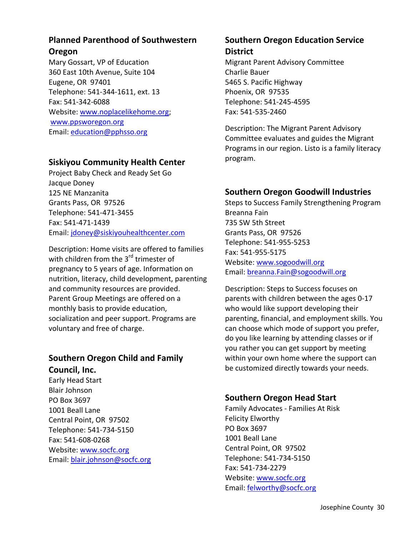# **Planned Parenthood of Southwestern**

#### **Oregon**

Mary Gossart, VP of Education 360 East 10th Avenue, Suite 104 Eugene, OR 97401 Telephone: 541‐344‐1611, ext. 13 Fax: 541‐342‐6088 Website: www.noplacelikehome.org; www.ppsworegon.org Email: education@pphsso.org

# **Siskiyou Community Health Center**

Project Baby Check and Ready Set Go Jacque Doney 125 NE Manzanita Grants Pass, OR 97526 Telephone: 541‐471‐3455 Fax: 541‐471‐1439 Email: jdoney@siskiyouhealthcenter.com

Description: Home visits are offered to families with children from the  $3<sup>rd</sup>$  trimester of pregnancy to 5 years of age. Information on nutrition, literacy, child development, parenting and community resources are provided. Parent Group Meetings are offered on a monthly basis to provide education, socialization and peer support. Programs are voluntary and free of charge.

# **Southern Oregon Child and Family Council, Inc.**

Early Head Start Blair Johnson PO Box 3697 1001 Beall Lane Central Point, OR 97502 Telephone: 541‐734‐5150 Fax: 541‐608‐0268 Website: www.socfc.org Email: blair.johnson@socfc.org

### **Southern Oregon Education Service District**

Migrant Parent Advisory Committee Charlie Bauer 5465 S. Pacific Highway Phoenix, OR 97535 Telephone: 541‐245‐4595 Fax: 541‐535‐2460

Description: The Migrant Parent Advisory Committee evaluates and guides the Migrant Programs in our region. Listo is a family literacy program.

# **Southern Oregon Goodwill Industries**

Steps to Success Family Strengthening Program Breanna Fain 735 SW 5th Street Grants Pass, OR 97526 Telephone: 541‐955‐5253 Fax: 541‐955‐5175 Website: www.sogoodwill.org Email: breanna.Fain@sogoodwill.org

Description: Steps to Success focuses on parents with children between the ages 0‐17 who would like support developing their parenting, financial, and employment skills. You can choose which mode of support you prefer, do you like learning by attending classes or if you rather you can get support by meeting within your own home where the support can be customized directly towards your needs.

# **Southern Oregon Head Start**

Family Advocates ‐ Families At Risk Felicity Elworthy PO Box 3697 1001 Beall Lane Central Point, OR 97502 Telephone: 541‐734‐5150 Fax: 541‐734‐2279 Website: www.socfc.org Email: felworthy@socfc.org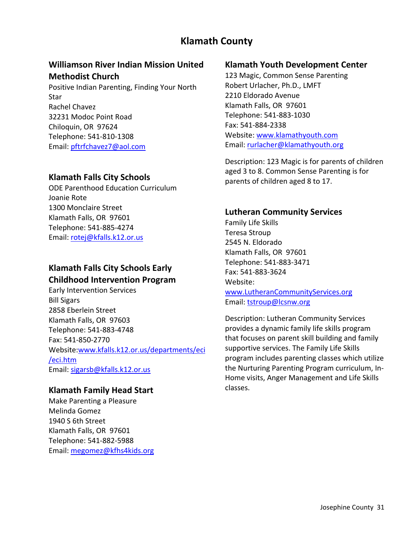# **Klamath County**

### **Williamson River Indian Mission United Methodist Church**

Positive Indian Parenting, Finding Your North Star Rachel Chavez 32231 Modoc Point Road Chiloquin, OR 97624 Telephone: 541‐810‐1308 Email: pftrfchavez7@aol.com

#### **Klamath Falls City Schools**

ODE Parenthood Education Curriculum Joanie Rote 1300 Monclaire Street Klamath Falls, OR 97601 Telephone: 541‐885‐4274 Email: rotej@kfalls.k12.or.us

# **Klamath Falls City Schools Early Childhood Intervention Program**

Early Intervention Services Bill Sigars 2858 Eberlein Street Klamath Falls, OR 97603 Telephone: 541‐883‐4748 Fax: 541‐850‐2770 Website:www.kfalls.k12.or.us/departments/eci /eci.htm Email: sigarsb@kfalls.k12.or.us

#### **Klamath Family Head Start**

Make Parenting a Pleasure Melinda Gomez 1940 S 6th Street Klamath Falls, OR 97601 Telephone: 541‐882‐5988 Email: megomez@kfhs4kids.org

#### **Klamath Youth Development Center**

123 Magic, Common Sense Parenting Robert Urlacher, Ph.D., LMFT 2210 Eldorado Avenue Klamath Falls, OR 97601 Telephone: 541‐883‐1030 Fax: 541‐884‐2338 Website: www.klamathyouth.com Email: rurlacher@klamathyouth.org

Description: 123 Magic is for parents of children aged 3 to 8. Common Sense Parenting is for parents of children aged 8 to 17.

#### **Lutheran Community Services**

Family Life Skills Teresa Stroup 2545 N. Eldorado Klamath Falls, OR 97601 Telephone: 541‐883‐3471 Fax: 541‐883‐3624 Website: www.LutheranCommunityServices.org Email: tstroup@lcsnw.org

Description: Lutheran Community Services provides a dynamic family life skills program that focuses on parent skill building and family supportive services. The Family Life Skills program includes parenting classes which utilize the Nurturing Parenting Program curriculum, In‐ Home visits, Anger Management and Life Skills classes.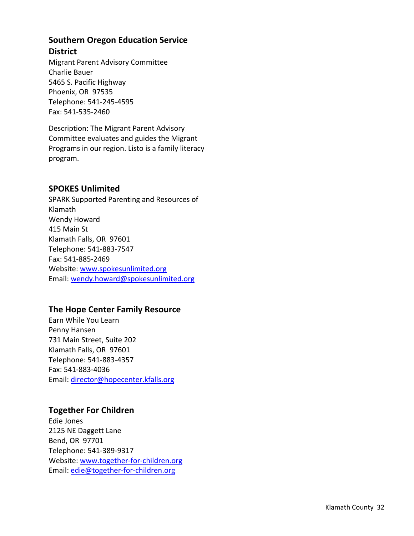# **Southern Oregon Education Service District**

Migrant Parent Advisory Committee Charlie Bauer 5465 S. Pacific Highway Phoenix, OR 97535 Telephone: 541‐245‐4595 Fax: 541‐535‐2460

Description: The Migrant Parent Advisory Committee evaluates and guides the Migrant Programs in our region. Listo is a family literacy program.

#### **SPOKES Unlimited**

SPARK Supported Parenting and Resources of Klamath Wendy Howard 415 Main St Klamath Falls, OR 97601 Telephone: 541‐883‐7547 Fax: 541‐885‐2469 Website: www.spokesunlimited.org Email: wendy.howard@spokesunlimited.org

# **The Hope Center Family Resource**

Earn While You Learn Penny Hansen 731 Main Street, Suite 202 Klamath Falls, OR 97601 Telephone: 541‐883‐4357 Fax: 541‐883‐4036 Email: director@hopecenter.kfalls.org

#### **Together For Children**

Edie Jones 2125 NE Daggett Lane Bend, OR 97701 Telephone: 541‐389‐9317 Website: www.together-for-children.org Email: edie@together‐for‐children.org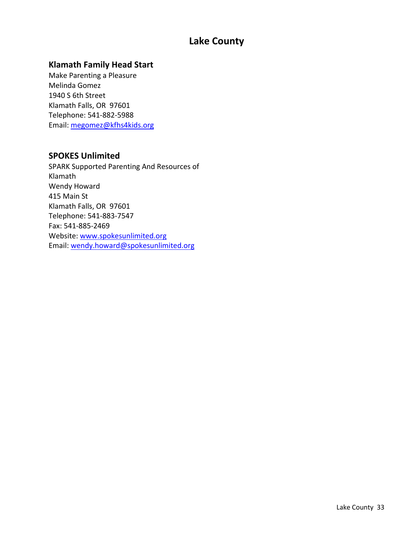# **Lake County**

### **Klamath Family Head Start**

Make Parenting a Pleasure Melinda Gomez 1940 S 6th Street Klamath Falls, OR 97601 Telephone: 541‐882‐5988 Email: megomez@kfhs4kids.org

#### **SPOKES Unlimited**

SPARK Supported Parenting And Resources of Klamath Wendy Howard 415 Main St Klamath Falls, OR 97601 Telephone: 541‐883‐7547 Fax: 541‐885‐2469 Website: www.spokesunlimited.org Email: wendy.howard@spokesunlimited.org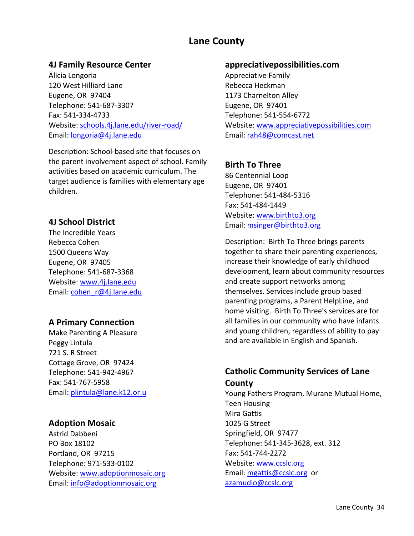# **Lane County**

#### **4J Family Resource Center**

Alicia Longoria 120 West Hilliard Lane Eugene, OR 97404 Telephone: 541‐687‐3307 Fax: 541‐334‐4733 Website: schools.4j.lane.edu/river‐road/ Email: longoria@4j.lane.edu

Description: School‐based site that focuses on the parent involvement aspect of school. Family activities based on academic curriculum. The target audience is families with elementary age children.

#### **4J School District**

The Incredible Years Rebecca Cohen 1500 Queens Way Eugene, OR 97405 Telephone: 541‐687‐3368 Website: www.4j.lane.edu Email: cohen\_r@4j.lane.edu

#### **A Primary Connection**

Make Parenting A Pleasure Peggy Lintula 721 S. R Street Cottage Grove, OR 97424 Telephone: 541‐942‐4967 Fax: 541‐767‐5958 Email: plintula@lane.k12.or.u

#### **Adoption Mosaic**

Astrid Dabbeni PO Box 18102 Portland, OR 97215 Telephone: 971‐533‐0102 Website: www.adoptionmosaic.org Email: info@adoptionmosaic.org

#### **appreciativepossibilities.com**

Appreciative Family Rebecca Heckman 1173 Charnelton Alley Eugene, OR 97401 Telephone: 541‐554‐6772 Website: www.appreciativepossibilities.com Email: rah48@comcast.net

### **Birth To Three**

86 Centennial Loop Eugene, OR 97401 Telephone: 541‐484‐5316 Fax: 541‐484‐1449 Website: www.birthto3.org Email: msinger@birthto3.org

Description: Birth To Three brings parents together to share their parenting experiences, increase their knowledge of early childhood development, learn about community resources and create support networks among themselves. Services include group based parenting programs, a Parent HelpLine, and home visiting. Birth To Three's services are for all families in our community who have infants and young children, regardless of ability to pay and are available in English and Spanish.

# **Catholic Community Services of Lane County**

Young Fathers Program, Murane Mutual Home, Teen Housing Mira Gattis 1025 G Street Springfield, OR 97477 Telephone: 541‐345‐3628, ext. 312 Fax: 541‐744‐2272 Website: www.ccslc.org Email: mgattis@ccslc.org or azamudio@ccslc.org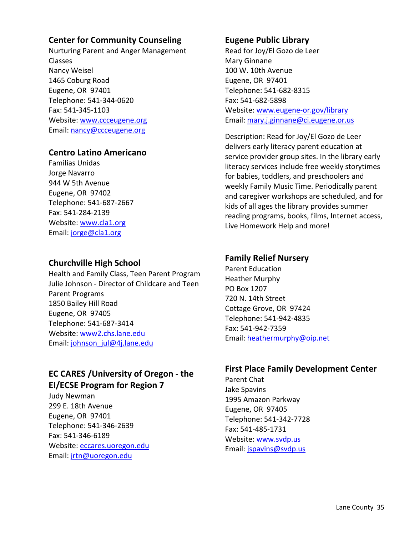### **Center for Community Counseling**

Nurturing Parent and Anger Management Classes Nancy Weisel 1465 Coburg Road Eugene, OR 97401 Telephone: 541‐344‐0620 Fax: 541‐345‐1103 Website: www.ccceugene.org Email: nancy@ccceugene.org

#### **Centro Latino Americano**

Familias Unidas Jorge Navarro 944 W 5th Avenue Eugene, OR 97402 Telephone: 541‐687‐2667 Fax: 541‐284‐2139 Website: www.cla1.org Email: jorge@cla1.org

#### **Churchville High School**

Health and Family Class, Teen Parent Program Julie Johnson ‐ Director of Childcare and Teen Parent Programs 1850 Bailey Hill Road Eugene, OR 97405 Telephone: 541‐687‐3414 Website: www2.chs.lane.edu Email: johnson\_jul@4j.lane.edu

# **EC CARES /University of Oregon ‐ the EI/ECSE Program for Region 7**

Judy Newman 299 E. 18th Avenue Eugene, OR 97401 Telephone: 541‐346‐2639 Fax: 541‐346‐6189 Website: eccares.uoregon.edu Email: jrtn@uoregon.edu

#### **Eugene Public Library**

Read for Joy/El Gozo de Leer Mary Ginnane 100 W. 10th Avenue Eugene, OR 97401 Telephone: 541‐682‐8315 Fax: 541‐682‐5898 Website: www.eugene‐or.gov/library Email: mary.j.ginnane@ci.eugene.or.us

Description: Read for Joy/El Gozo de Leer delivers early literacy parent education at service provider group sites. In the library early literacy services include free weekly storytimes for babies, toddlers, and preschoolers and weekly Family Music Time. Periodically parent and caregiver workshops are scheduled, and for kids of all ages the library provides summer reading programs, books, films, Internet access, Live Homework Help and more!

### **Family Relief Nursery**

Parent Education Heather Murphy PO Box 1207 720 N. 14th Street Cottage Grove, OR 97424 Telephone: 541‐942‐4835 Fax: 541‐942‐7359 Email: heathermurphy@oip.net

#### **First Place Family Development Center**

Parent Chat Jake Spavins 1995 Amazon Parkway Eugene, OR 97405 Telephone: 541‐342‐7728 Fax: 541‐485‐1731 Website: www.svdp.us Email: jspavins@svdp.us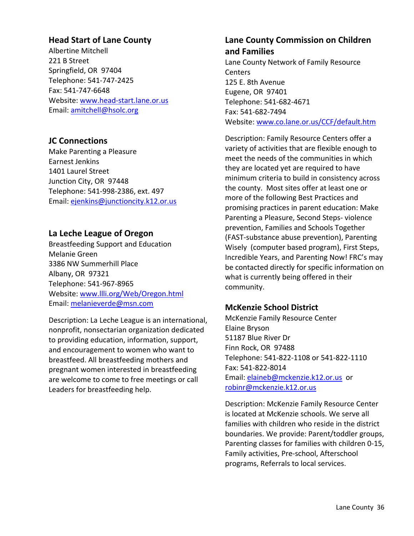### **Head Start of Lane County**

Albertine Mitchell 221 B Street Springfield, OR 97404 Telephone: 541‐747‐2425 Fax: 541‐747‐6648 Website: www.head‐start.lane.or.us Email: amitchell@hsolc.org

### **JC Connections**

Make Parenting a Pleasure Earnest Jenkins 1401 Laurel Street Junction City, OR 97448 Telephone: 541‐998‐2386, ext. 497 Email: ejenkins@junctioncity.k12.or.us

#### **La Leche League of Oregon**

Breastfeeding Support and Education Melanie Green 3386 NW Summerhill Place Albany, OR 97321 Telephone: 541‐967‐8965 Website: www.llli.org/Web/Oregon.html Email: melanieverde@msn.com

Description: La Leche League is an international, nonprofit, nonsectarian organization dedicated to providing education, information, support, and encouragement to women who want to breastfeed. All breastfeeding mothers and pregnant women interested in breastfeeding are welcome to come to free meetings or call Leaders for breastfeeding help.

### **Lane County Commission on Children and Families**

Lane County Network of Family Resource **Centers** 125 E. 8th Avenue Eugene, OR 97401 Telephone: 541‐682‐4671 Fax: 541‐682‐7494 Website: www.co.lane.or.us/CCF/default.htm

Description: Family Resource Centers offer a variety of activities that are flexible enough to meet the needs of the communities in which they are located yet are required to have minimum criteria to build in consistency across the county. Most sites offer at least one or more of the following Best Practices and promising practices in parent education: Make Parenting a Pleasure, Second Steps‐ violence prevention, Families and Schools Together (FAST‐substance abuse prevention), Parenting Wisely (computer based program), First Steps, Incredible Years, and Parenting Now! FRC's may be contacted directly for specific information on what is currently being offered in their community.

#### **McKenzie School District**

McKenzie Family Resource Center Elaine Bryson 51187 Blue River Dr Finn Rock, OR 97488 Telephone: 541‐822‐1108 or 541‐822‐1110 Fax: 541‐822‐8014 Email: elaineb@mckenzie.k12.or.us or robinr@mckenzie.k12.or.us

Description: McKenzie Family Resource Center is located at McKenzie schools. We serve all families with children who reside in the district boundaries. We provide: Parent/toddler groups, Parenting classes for families with children 0‐15, Family activities, Pre‐school, Afterschool programs, Referrals to local services.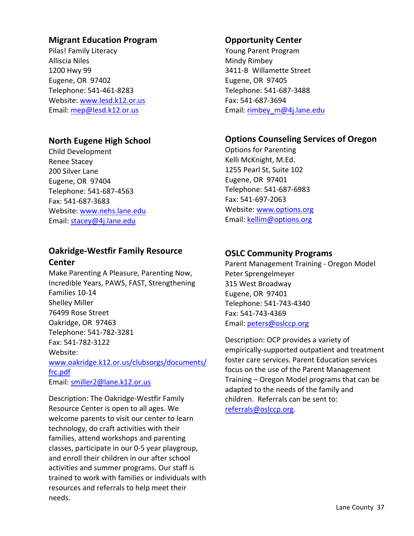# **Migrant Education Program**

Pilas! Family Literacy Alliscia Niles 1200 Hwy 99 Eugene, OR 97402 Telephone: 541‐461‐8283 Website: www.lesd.k12.or.us Email: mep@lesd.k12.or.us

# **North Eugene High School**

Child Development Renee Stacey 200 Silver Lane Eugene, OR 97404 Telephone: 541‐687‐4563 Fax: 541‐687‐3683 Website: www.nehs.lane.edu Email: stacey@4j.lane.edu

# **Oakridge‐Westfir Family Resource Center**

Make Parenting A Pleasure, Parenting Now, Incredible Years, PAWS, FAST, Strengthening Families 10‐14 Shelley Miller 76499 Rose Street Oakridge, OR 97463 Telephone: 541‐782‐3281 Fax: 541‐782‐3122 Website: www.oakridge.k12.or.us/clubsorgs/documents/ frc.pdf Email: smiller2@lane.k12.or.us

Description: The Oakridge‐Westfir Family Resource Center is open to all ages. We welcome parents to visit our center to learn technology, do craft activities with their families, attend workshops and parenting classes, participate in our 0‐5 year playgroup, and enroll their children in our after school activities and summer programs. Our staff is trained to work with families or individuals with resources and referrals to help meet their needs.

# **Opportunity Center**

Young Parent Program Mindy Rimbey 3411‐B Willamette Street Eugene, OR 97405 Telephone: 541‐687‐3488 Fax: 541‐687‐3694 Email: rimbey\_m@4j.lane.edu

# **Options Counseling Services of Oregon**

Options for Parenting Kelli McKnight, M.Ed. 1255 Pearl St, Suite 102 Eugene, OR 97401 Telephone: 541‐687‐6983 Fax: 541‐697‐2063 Website: www.options.org Email: kellim@options.org

# **OSLC Community Programs**

Parent Management Training ‐ Oregon Model Peter Sprengelmeyer 315 West Broadway Eugene, OR 97401 Telephone: 541‐743‐4340 Fax: 541‐743‐4369 Email: peters@oslccp.org

Description: OCP provides a variety of empirically‐supported outpatient and treatment foster care services. Parent Education services focus on the use of the Parent Management Training – Oregon Model programs that can be adapted to the needs of the family and children. Referrals can be sent to: referrals@oslccp.org.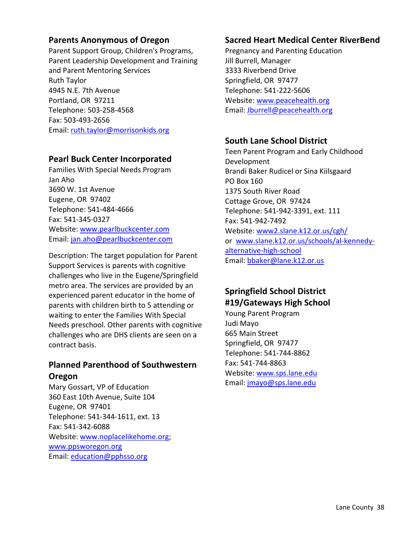## **Parents Anonymous of Oregon**

Parent Support Group, Children's Programs, Parent Leadership Development and Training and Parent Mentoring Services Ruth Taylor 4945 N.E. 7th Avenue Portland, OR 97211 Telephone: 503‐258‐4568 Fax: 503‐493‐2656 Email: ruth.taylor@morrisonkids.org

## **Pearl Buck Center Incorporated**

Families With Special Needs Program Jan Aho 3690 W. 1st Avenue Eugene, OR 97402 Telephone: 541‐484‐4666 Fax: 541‐345‐0327 Website: www.pearlbuckcenter.com Email: jan.aho@pearlbuckcenter.com

Description: The target population for Parent Support Services is parents with cognitive challenges who live in the Eugene/Springfield metro area. The services are provided by an experienced parent educator in the home of parents with children birth to 5 attending or waiting to enter the Families With Special Needs preschool. Other parents with cognitive challenges who are DHS clients are seen on a contract basis.

# **Planned Parenthood of Southwestern Oregon**

Mary Gossart, VP of Education 360 East 10th Avenue, Suite 104 Eugene, OR 97401 Telephone: 541‐344‐1611, ext. 13 Fax: 541‐342‐6088 Website: www.noplacelikehome.org; www.ppsworegon.org Email: education@pphsso.org

# **Sacred Heart Medical Center RiverBend**

Pregnancy and Parenting Education Jill Burrell, Manager 3333 Riverbend Drive Springfield, OR 97477 Telephone: 541‐222‐5606 Website: www.peacehealth.org Email: Jburrell@peacehealth.org

# **South Lane School District**

Teen Parent Program and Early Childhood Development Brandi Baker Rudicel or Sina Kiilsgaard PO Box 160 1375 South River Road Cottage Grove, OR 97424 Telephone: 541‐942‐3391, ext. 111 Fax: 541‐942‐7492 Website: www2.slane.k12.or.us/cgh/ or www.slane.k12.or.us/schools/al‐kennedy‐ alternative‐high‐school Email: bbaker@lane.k12.or.us

# **Springfield School District #19/Gateways High School**

Young Parent Program Judi Mayo 665 Main Street Springfield, OR 97477 Telephone: 541‐744‐8862 Fax: 541‐744‐8863 Website: www.sps.lane.edu Email: jmayo@sps.lane.edu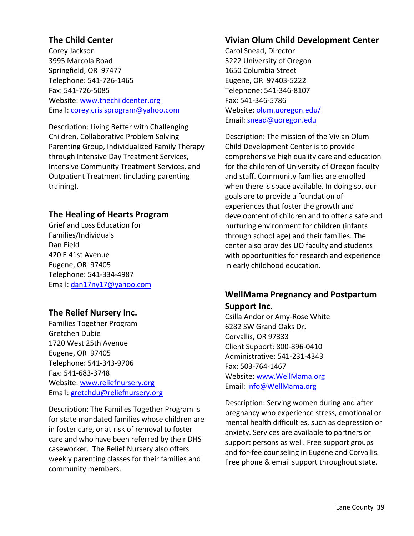# **The Child Center**

Corey Jackson 3995 Marcola Road Springfield, OR 97477 Telephone: 541‐726‐1465 Fax: 541‐726‐5085 Website: www.thechildcenter.org Email: corey.crisisprogram@yahoo.com

Description: Living Better with Challenging Children, Collaborative Problem Solving Parenting Group, Individualized Family Therapy through Intensive Day Treatment Services, Intensive Community Treatment Services, and Outpatient Treatment (including parenting training).

## **The Healing of Hearts Program**

Grief and Loss Education for Families/Individuals Dan Field 420 E 41st Avenue Eugene, OR 97405 Telephone: 541‐334‐4987 Email: dan17ny17@yahoo.com

#### **The Relief Nursery Inc.**

Families Together Program Gretchen Dubie 1720 West 25th Avenue Eugene, OR 97405 Telephone: 541‐343‐9706 Fax: 541‐683‐3748 Website: www.reliefnursery.org Email: gretchdu@reliefnursery.org

Description: The Families Together Program is for state mandated families whose children are in foster care, or at risk of removal to foster care and who have been referred by their DHS caseworker. The Relief Nursery also offers weekly parenting classes for their families and community members.

# **Vivian Olum Child Development Center**

Carol Snead, Director 5222 University of Oregon 1650 Columbia Street Eugene, OR 97403‐5222 Telephone: 541‐346‐8107 Fax: 541‐346‐5786 Website: olum.uoregon.edu/ Email: snead@uoregon.edu

Description: The mission of the Vivian Olum Child Development Center is to provide comprehensive high quality care and education for the children of University of Oregon faculty and staff. Community families are enrolled when there is space available. In doing so, our goals are to provide a foundation of experiences that foster the growth and development of children and to offer a safe and nurturing environment for children (infants through school age) and their families. The center also provides UO faculty and students with opportunities for research and experience in early childhood education.

# **WellMama Pregnancy and Postpartum Support Inc.**

Csilla Andor or Amy‐Rose White 6282 SW Grand Oaks Dr. Corvallis, OR 97333 Client Support: 800‐896‐0410 Administrative: 541‐231‐4343 Fax: 503‐764‐1467 Website: www.WellMama.org Email: info@WellMama.org

Description: Serving women during and after pregnancy who experience stress, emotional or mental health difficulties, such as depression or anxiety. Services are available to partners or support persons as well. Free support groups and for‐fee counseling in Eugene and Corvallis. Free phone & email support throughout state.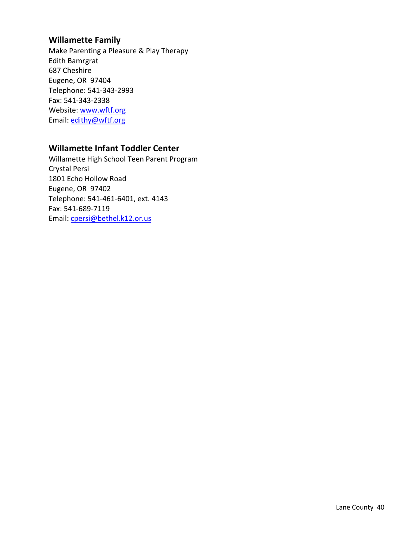# **Willamette Family**

Make Parenting a Pleasure & Play Therapy Edith Bamrgrat 687 Cheshire Eugene, OR 97404 Telephone: 541‐343‐2993 Fax: 541‐343‐2338 Website: www.wftf.org Email: edithy@wftf.org

#### **Willamette Infant Toddler Center**

Willamette High School Teen Parent Program Crystal Persi 1801 Echo Hollow Road Eugene, OR 97402 Telephone: 541‐461‐6401, ext. 4143 Fax: 541‐689‐7119 Email: cpersi@bethel.k12.or.us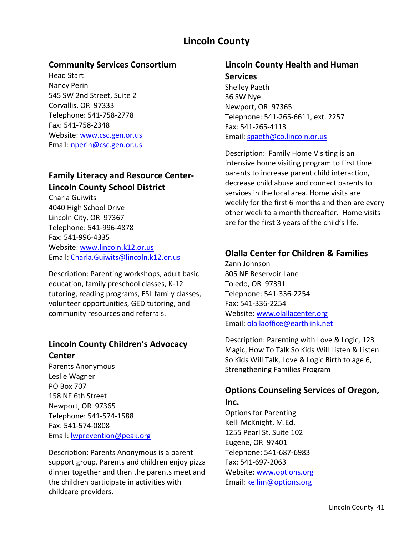# **Lincoln County**

### **Community Services Consortium**

Head Start Nancy Perin 545 SW 2nd Street, Suite 2 Corvallis, OR 97333 Telephone: 541‐758‐2778 Fax: 541‐758‐2348 Website: www.csc.gen.or.us Email: nperin@csc.gen.or.us

# **Family Literacy and Resource Center‐ Lincoln County School District**

Charla Guiwits 4040 High School Drive Lincoln City, OR 97367 Telephone: 541‐996‐4878 Fax: 541‐996‐4335 Website: www.lincoln.k12.or.us Email: Charla.Guiwits@lincoln.k12.or.us

Description: Parenting workshops, adult basic education, family preschool classes, K‐12 tutoring, reading programs, ESL family classes, volunteer opportunities, GED tutoring, and community resources and referrals.

# **Lincoln County Children's Advocacy Center**

Parents Anonymous Leslie Wagner PO Box 707 158 NE 6th Street Newport, OR 97365 Telephone: 541‐574‐1588 Fax: 541‐574‐0808 Email: lwprevention@peak.org

Description: Parents Anonymous is a parent support group. Parents and children enjoy pizza dinner together and then the parents meet and the children participate in activities with childcare providers.

# **Lincoln County Health and Human Services**

Shelley Paeth 36 SW Nye Newport, OR 97365 Telephone: 541‐265‐6611, ext. 2257 Fax: 541‐265‐4113 Email: spaeth@co.lincoln.or.us

Description: Family Home Visiting is an intensive home visiting program to first time parents to increase parent child interaction, decrease child abuse and connect parents to services in the local area. Home visits are weekly for the first 6 months and then are every other week to a month thereafter. Home visits are for the first 3 years of the child's life.

# **Olalla Center for Children & Families**

Zann Johnson 805 NE Reservoir Lane Toledo, OR 97391 Telephone: 541‐336‐2254 Fax: 541‐336‐2254 Website: www.olallacenter.org Email: olallaoffice@earthlink.net

Description: Parenting with Love & Logic, 123 Magic, How To Talk So Kids Will Listen & Listen So Kids Will Talk, Love & Logic Birth to age 6, Strengthening Families Program

# **Options Counseling Services of Oregon,**

#### **Inc.**

Options for Parenting Kelli McKnight, M.Ed. 1255 Pearl St, Suite 102 Eugene, OR 97401 Telephone: 541‐687‐6983 Fax: 541‐697‐2063 Website: www.options.org Email: kellim@options.org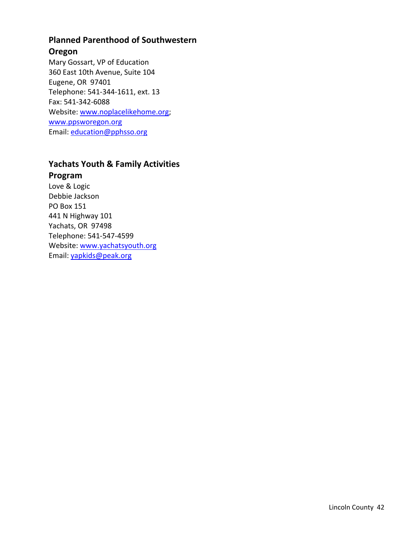# **Planned Parenthood of Southwestern**

### **Oregon**

Mary Gossart, VP of Education 360 East 10th Avenue, Suite 104 Eugene, OR 97401 Telephone: 541‐344‐1611, ext. 13 Fax: 541‐342‐6088 Website: www.noplacelikehome.org; www.ppsworegon.org Email: education@pphsso.org

# **Yachats Youth & Family Activities**

## **Program**

Love & Logic Debbie Jackson PO Box 151 441 N Highway 101 Yachats, OR 97498 Telephone: 541‐547‐4599 Website: www.yachatsyouth.org Email: yapkids@peak.org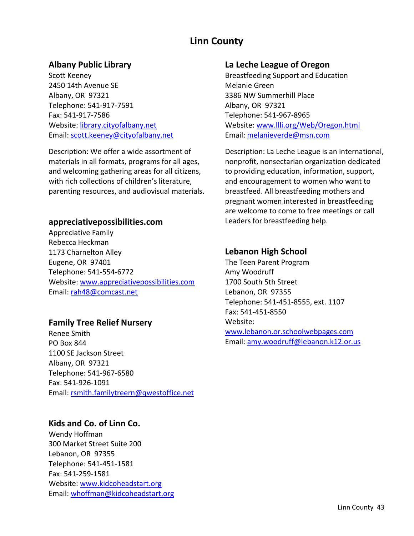# **Linn County**

# **Albany Public Library**

Scott Keeney 2450 14th Avenue SE Albany, OR 97321 Telephone: 541‐917‐7591 Fax: 541‐917‐7586 Website: library.cityofalbany.net Email: scott.keeney@cityofalbany.net

Description: We offer a wide assortment of materials in all formats, programs for all ages, and welcoming gathering areas for all citizens, with rich collections of children's literature, parenting resources, and audiovisual materials.

#### **appreciativepossibilities.com**

Appreciative Family Rebecca Heckman 1173 Charnelton Alley Eugene, OR 97401 Telephone: 541‐554‐6772 Website: www.appreciativepossibilities.com Email: rah48@comcast.net

## **Family Tree Relief Nursery**

Renee Smith PO Box 844 1100 SE Jackson Street Albany, OR 97321 Telephone: 541‐967‐6580 Fax: 541‐926‐1091 Email: rsmith.familytreern@qwestoffice.net

# **Kids and Co. of Linn Co.**

Wendy Hoffman 300 Market Street Suite 200 Lebanon, OR 97355 Telephone: 541‐451‐1581 Fax: 541‐259‐1581 Website: www.kidcoheadstart.org Email: whoffman@kidcoheadstart.org

#### **La Leche League of Oregon**

Breastfeeding Support and Education Melanie Green 3386 NW Summerhill Place Albany, OR 97321 Telephone: 541‐967‐8965 Website: www.llli.org/Web/Oregon.html Email: melanieverde@msn.com

Description: La Leche League is an international, nonprofit, nonsectarian organization dedicated to providing education, information, support, and encouragement to women who want to breastfeed. All breastfeeding mothers and pregnant women interested in breastfeeding are welcome to come to free meetings or call Leaders for breastfeeding help.

# **Lebanon High School**

The Teen Parent Program Amy Woodruff 1700 South 5th Street Lebanon, OR 97355 Telephone: 541‐451‐8555, ext. 1107 Fax: 541‐451‐8550 Website: www.lebanon.or.schoolwebpages.com Email: amy.woodruff@lebanon.k12.or.us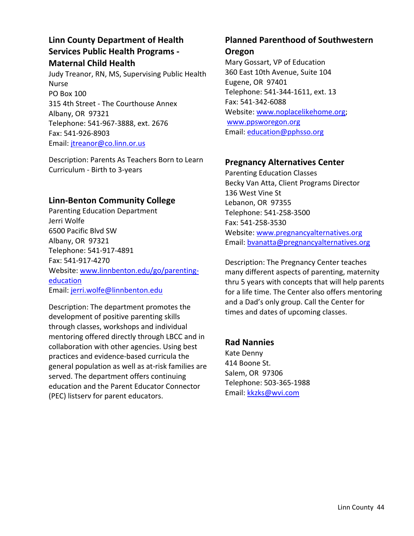# **Linn County Department of Health Services Public Health Programs ‐ Maternal Child Health**

Judy Treanor, RN, MS, Supervising Public Health Nurse PO Box 100 315 4th Street ‐ The Courthouse Annex Albany, OR 97321 Telephone: 541‐967‐3888, ext. 2676 Fax: 541‐926‐8903 Email: jtreanor@co.linn.or.us

Description: Parents As Teachers Born to Learn Curriculum ‐ Birth to 3‐years

## **Linn‐Benton Community College**

Parenting Education Department Jerri Wolfe 6500 Pacific Blvd SW Albany, OR 97321 Telephone: 541‐917‐4891 Fax: 541‐917‐4270 Website: www.linnbenton.edu/go/parenting‐ education Email: jerri.wolfe@linnbenton.edu

Description: The department promotes the development of positive parenting skills through classes, workshops and individual mentoring offered directly through LBCC and in collaboration with other agencies. Using best practices and evidence‐based curricula the general population as well as at‐risk families are served. The department offers continuing education and the Parent Educator Connector (PEC) listserv for parent educators.

# **Planned Parenthood of Southwestern**

#### **Oregon**

Mary Gossart, VP of Education 360 East 10th Avenue, Suite 104 Eugene, OR 97401 Telephone: 541‐344‐1611, ext. 13 Fax: 541‐342‐6088 Website: www.noplacelikehome.org; www.ppsworegon.org Email: education@pphsso.org

# **Pregnancy Alternatives Center**

Parenting Education Classes Becky Van Atta, Client Programs Director 136 West Vine St Lebanon, OR 97355 Telephone: 541‐258‐3500 Fax: 541‐258‐3530 Website: www.pregnancyalternatives.org Email: bvanatta@pregnancyalternatives.org

Description: The Pregnancy Center teaches many different aspects of parenting, maternity thru 5 years with concepts that will help parents for a life time. The Center also offers mentoring and a Dad's only group. Call the Center for times and dates of upcoming classes.

# **Rad Nannies**

Kate Denny 414 Boone St. Salem, OR 97306 Telephone: 503‐365‐1988 Email: kkzks@wvi.com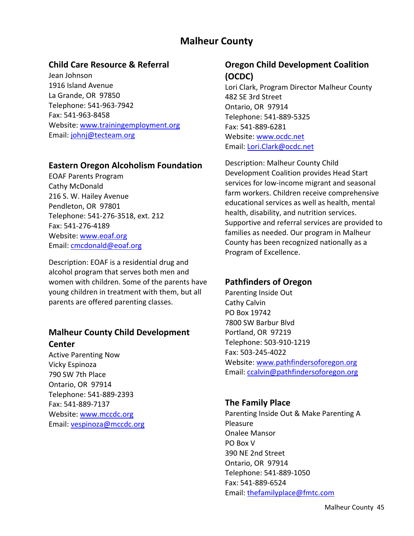# **Malheur County**

## **Child Care Resource & Referral**

Jean Johnson 1916 Island Avenue La Grande, OR 97850 Telephone: 541‐963‐7942 Fax: 541‐963‐8458 Website: www.trainingemployment.org Email: johnj@tecteam.org

#### **Eastern Oregon Alcoholism Foundation**

EOAF Parents Program Cathy McDonald 216 S. W. Hailey Avenue Pendleton, OR 97801 Telephone: 541‐276‐3518, ext. 212 Fax: 541‐276‐4189 Website: www.eoaf.org Email: cmcdonald@eoaf.org

Description: EOAF is a residential drug and alcohol program that serves both men and women with children. Some of the parents have young children in treatment with them, but all parents are offered parenting classes.

# **Malheur County Child Development Center**

Active Parenting Now Vicky Espinoza 790 SW 7th Place Ontario, OR 97914 Telephone: 541‐889‐2393 Fax: 541‐889‐7137 Website: www.mccdc.org Email: vespinoza@mccdc.org

# **Oregon Child Development Coalition (OCDC)**

Lori Clark, Program Director Malheur County 482 SE 3rd Street Ontario, OR 97914 Telephone: 541‐889‐5325 Fax: 541‐889‐6281 Website: www.ocdc.net Email: Lori.Clark@ocdc.net

Description: Malheur County Child Development Coalition provides Head Start services for low‐income migrant and seasonal farm workers. Children receive comprehensive educational services as well as health, mental health, disability, and nutrition services. Supportive and referral services are provided to families as needed. Our program in Malheur County has been recognized nationally as a Program of Excellence.

# **Pathfinders of Oregon**

Parenting Inside Out Cathy Calvin PO Box 19742 7800 SW Barbur Blvd Portland, OR 97219 Telephone: 503‐910‐1219 Fax: 503‐245‐4022 Website: www.pathfindersoforegon.org Email: ccalvin@pathfindersoforegon.org

## **The Family Place**

Parenting Inside Out & Make Parenting A Pleasure Onalee Mansor PO Box V 390 NE 2nd Street Ontario, OR 97914 Telephone: 541‐889‐1050 Fax: 541‐889‐6524 Email: thefamilyplace@fmtc.com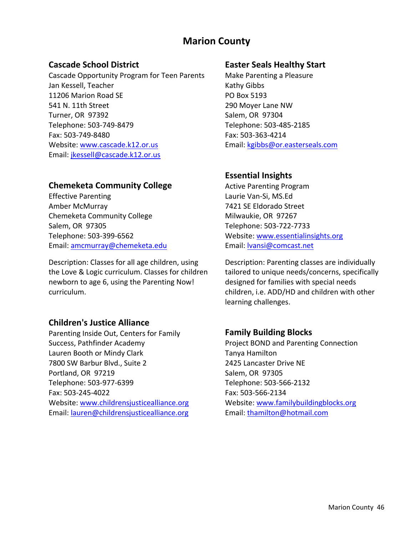# **Marion County**

## **Cascade School District**

Cascade Opportunity Program for Teen Parents Jan Kessell, Teacher 11206 Marion Road SE 541 N. 11th Street Turner, OR 97392 Telephone: 503‐749‐8479 Fax: 503‐749‐8480 Website: www.cascade.k12.or.us Email: jkessell@cascade.k12.or.us

## **Chemeketa Community College**

Effective Parenting Amber McMurray Chemeketa Community College Salem, OR 97305 Telephone: 503‐399‐6562 Email: amcmurray@chemeketa.edu

Description: Classes for all age children, using the Love & Logic curriculum. Classes for children newborn to age 6, using the Parenting Now! curriculum.

## **Children's Justice Alliance**

Parenting Inside Out, Centers for Family Success, Pathfinder Academy Lauren Booth or Mindy Clark 7800 SW Barbur Blvd., Suite 2 Portland, OR 97219 Telephone: 503‐977‐6399 Fax: 503‐245‐4022 Website: www.childrensjusticealliance.org Email: lauren@childrensjusticealliance.org

### **Easter Seals Healthy Start**

Make Parenting a Pleasure Kathy Gibbs PO Box 5193 290 Moyer Lane NW Salem, OR 97304 Telephone: 503‐485‐2185 Fax: 503‐363‐4214 Email: kgibbs@or.easterseals.com

# **Essential Insights**

Active Parenting Program Laurie Van‐Si, MS.Ed 7421 SE Eldorado Street Milwaukie, OR 97267 Telephone: 503‐722‐7733 Website: www.essentialinsights.org Email: lvansi@comcast.net

Description: Parenting classes are individually tailored to unique needs/concerns, specifically designed for families with special needs children, i.e. ADD/HD and children with other learning challenges.

# **Family Building Blocks**

Project BOND and Parenting Connection Tanya Hamilton 2425 Lancaster Drive NE Salem, OR 97305 Telephone: 503‐566‐2132 Fax: 503‐566‐2134 Website: www.familybuildingblocks.org Email: thamilton@hotmail.com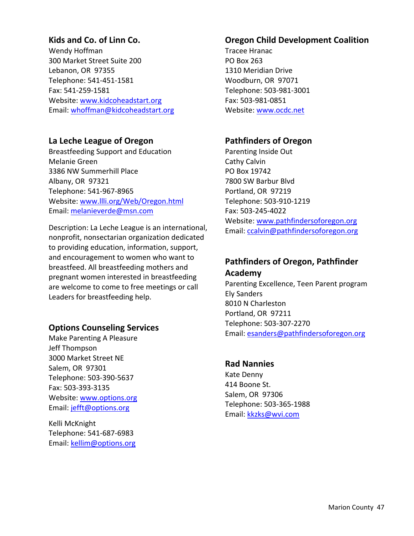# **Kids and Co. of Linn Co.**

Wendy Hoffman 300 Market Street Suite 200 Lebanon, OR 97355 Telephone: 541‐451‐1581 Fax: 541‐259‐1581 Website: www.kidcoheadstart.org Email: whoffman@kidcoheadstart.org

## **La Leche League of Oregon**

Breastfeeding Support and Education Melanie Green 3386 NW Summerhill Place Albany, OR 97321 Telephone: 541‐967‐8965 Website: www.llli.org/Web/Oregon.html Email: melanieverde@msn.com

Description: La Leche League is an international, nonprofit, nonsectarian organization dedicated to providing education, information, support, and encouragement to women who want to breastfeed. All breastfeeding mothers and pregnant women interested in breastfeeding are welcome to come to free meetings or call Leaders for breastfeeding help.

## **Options Counseling Services**

Make Parenting A Pleasure Jeff Thompson 3000 Market Street NE Salem, OR 97301 Telephone: 503‐390‐5637 Fax: 503‐393‐3135 Website: www.options.org Email: jefft@options.org

Kelli McKnight Telephone: 541‐687‐6983 Email: kellim@options.org

## **Oregon Child Development Coalition**

Tracee Hranac PO Box 263 1310 Meridian Drive Woodburn, OR 97071 Telephone: 503‐981‐3001 Fax: 503‐981‐0851 Website: www.ocdc.net

## **Pathfinders of Oregon**

Parenting Inside Out Cathy Calvin PO Box 19742 7800 SW Barbur Blvd Portland, OR 97219 Telephone: 503‐910‐1219 Fax: 503‐245‐4022 Website: www.pathfindersoforegon.org Email: ccalvin@pathfindersoforegon.org

# **Pathfinders of Oregon, Pathfinder Academy**

Parenting Excellence, Teen Parent program Ely Sanders 8010 N Charleston Portland, OR 97211 Telephone: 503‐307‐2270 Email: esanders@pathfindersoforegon.org

#### **Rad Nannies**

Kate Denny 414 Boone St. Salem, OR 97306 Telephone: 503‐365‐1988 Email: kkzks@wvi.com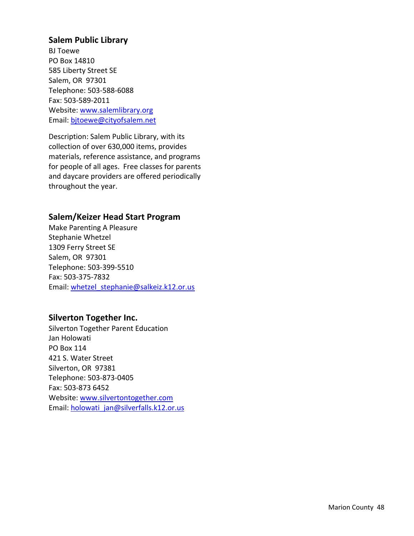#### **Salem Public Library**

BJ Toewe PO Box 14810 585 Liberty Street SE Salem, OR 97301 Telephone: 503‐588‐6088 Fax: 503‐589‐2011 Website: www.salemlibrary.org Email: bjtoewe@cityofsalem.net

Description: Salem Public Library, with its collection of over 630,000 items, provides materials, reference assistance, and programs for people of all ages. Free classes for parents and daycare providers are offered periodically throughout the year.

## **Salem/Keizer Head Start Program**

Make Parenting A Pleasure Stephanie Whetzel 1309 Ferry Street SE Salem, OR 97301 Telephone: 503‐399‐5510 Fax: 503‐375‐7832 Email: whetzel\_stephanie@salkeiz.k12.or.us

## **Silverton Together Inc.**

Silverton Together Parent Education Jan Holowati PO Box 114 421 S. Water Street Silverton, OR 97381 Telephone: 503‐873‐0405 Fax: 503‐873 6452 Website: www.silvertontogether.com Email: holowati\_jan@silverfalls.k12.or.us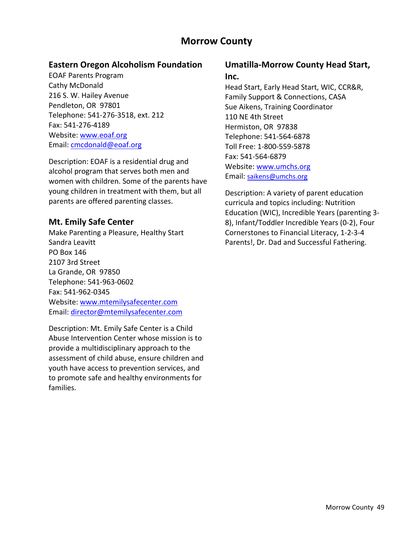# **Morrow County**

# **Eastern Oregon Alcoholism Foundation**

EOAF Parents Program Cathy McDonald 216 S. W. Hailey Avenue Pendleton, OR 97801 Telephone: 541‐276‐3518, ext. 212 Fax: 541‐276‐4189 Website: www.eoaf.org Email: cmcdonald@eoaf.org

Description: EOAF is a residential drug and alcohol program that serves both men and women with children. Some of the parents have young children in treatment with them, but all parents are offered parenting classes.

## **Mt. Emily Safe Center**

Make Parenting a Pleasure, Healthy Start Sandra Leavitt PO Box 146 2107 3rd Street La Grande, OR 97850 Telephone: 541‐963‐0602 Fax: 541‐962‐0345 Website: www.mtemilysafecenter.com Email: director@mtemilysafecenter.com

Description: Mt. Emily Safe Center is a Child Abuse Intervention Center whose mission is to provide a multidisciplinary approach to the assessment of child abuse, ensure children and youth have access to prevention services, and to promote safe and healthy environments for families.

#### **Umatilla‐Morrow County Head Start, Inc.**

Head Start, Early Head Start, WIC, CCR&R, Family Support & Connections, CASA Sue Aikens, Training Coordinator 110 NE 4th Street Hermiston, OR 97838 Telephone: 541‐564‐6878 Toll Free: 1‐800‐559‐5878 Fax: 541‐564‐6879 Website: www.umchs.org Email: saikens@umchs.org

Description: A variety of parent education curricula and topics including: Nutrition Education (WIC), Incredible Years (parenting 3‐ 8), Infant/Toddler Incredible Years (0‐2), Four Cornerstones to Financial Literacy, 1‐2‐3‐4 Parents!, Dr. Dad and Successful Fathering.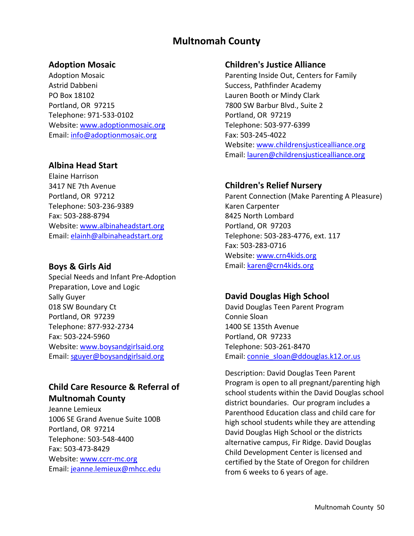# **Multnomah County**

#### **Adoption Mosaic**

Adoption Mosaic Astrid Dabbeni PO Box 18102 Portland, OR 97215 Telephone: 971‐533‐0102 Website: www.adoptionmosaic.org Email: info@adoptionmosaic.org

## **Albina Head Start**

Elaine Harrison 3417 NE 7th Avenue Portland, OR 97212 Telephone: 503‐236‐9389 Fax: 503‐288‐8794 Website: www.albinaheadstart.org Email: elainh@albinaheadstart.org

#### **Boys & Girls Aid**

Special Needs and Infant Pre‐Adoption Preparation, Love and Logic Sally Guyer 018 SW Boundary Ct Portland, OR 97239 Telephone: 877‐932‐2734 Fax: 503‐224‐5960 Website: www.boysandgirlsaid.org Email: sguyer@boysandgirlsaid.org

# **Child Care Resource & Referral of Multnomah County**

Jeanne Lemieux 1006 SE Grand Avenue Suite 100B Portland, OR 97214 Telephone: 503‐548‐4400 Fax: 503‐473‐8429 Website: www.ccrr-mc.org Email: jeanne.lemieux@mhcc.edu

#### **Children's Justice Alliance**

Parenting Inside Out, Centers for Family Success, Pathfinder Academy Lauren Booth or Mindy Clark 7800 SW Barbur Blvd., Suite 2 Portland, OR 97219 Telephone: 503‐977‐6399 Fax: 503‐245‐4022 Website: www.childrensjusticealliance.org Email: lauren@childrensjusticealliance.org

## **Children's Relief Nursery**

Parent Connection (Make Parenting A Pleasure) Karen Carpenter 8425 North Lombard Portland, OR 97203 Telephone: 503‐283‐4776, ext. 117 Fax: 503‐283‐0716 Website: www.crn4kids.org Email: karen@crn4kids.org

# **David Douglas High School**

David Douglas Teen Parent Program Connie Sloan 1400 SE 135th Avenue Portland, OR 97233 Telephone: 503‐261‐8470 Email: connie\_sloan@ddouglas.k12.or.us

Description: David Douglas Teen Parent Program is open to all pregnant/parenting high school students within the David Douglas school district boundaries. Our program includes a Parenthood Education class and child care for high school students while they are attending David Douglas High School or the districts alternative campus, Fir Ridge. David Douglas Child Development Center is licensed and certified by the State of Oregon for children from 6 weeks to 6 years of age.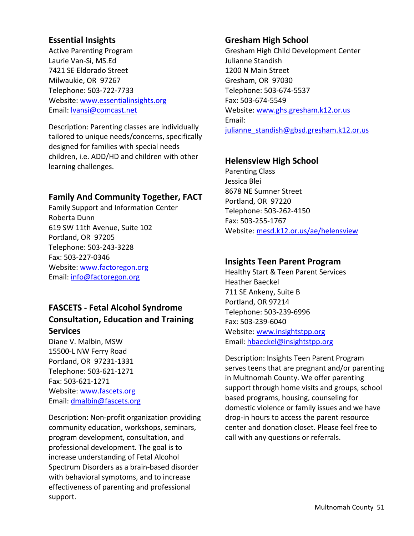# **Essential Insights**

Active Parenting Program Laurie Van‐Si, MS.Ed 7421 SE Eldorado Street Milwaukie, OR 97267 Telephone: 503‐722‐7733 Website: www.essentialinsights.org Email: lvansi@comcast.net

Description: Parenting classes are individually tailored to unique needs/concerns, specifically designed for families with special needs children, i.e. ADD/HD and children with other learning challenges.

# **Family And Community Together, FACT**

Family Support and Information Center Roberta Dunn 619 SW 11th Avenue, Suite 102 Portland, OR 97205 Telephone: 503‐243‐3228 Fax: 503‐227‐0346 Website: www.factoregon.org Email: info@factoregon.org

# **FASCETS ‐ Fetal Alcohol Syndrome Consultation, Education and Training Services**

Diane V. Malbin, MSW 15500‐L NW Ferry Road Portland, OR 97231‐1331 Telephone: 503‐621‐1271 Fax: 503‐621‐1271 Website: www.fascets.org Email: dmalbin@fascets.org

Description: Non‐profit organization providing community education, workshops, seminars, program development, consultation, and professional development. The goal is to increase understanding of Fetal Alcohol Spectrum Disorders as a brain‐based disorder with behavioral symptoms, and to increase effectiveness of parenting and professional support.

# **Gresham High School**

Gresham High Child Development Center Julianne Standish 1200 N Main Street Gresham, OR 97030 Telephone: 503‐674‐5537 Fax: 503‐674‐5549 Website: www.ghs.gresham.k12.or.us Email: julianne standish@gbsd.gresham.k12.or.us

# **Helensview High School**

Parenting Class Jessica Blei 8678 NE Sumner Street Portland, OR 97220 Telephone: 503‐262‐4150 Fax: 503‐255‐1767 Website: mesd.k12.or.us/ae/helensview

## **Insights Teen Parent Program**

Healthy Start & Teen Parent Services Heather Baeckel 711 SE Ankeny, Suite B Portland, OR 97214 Telephone: 503‐239‐6996 Fax: 503‐239‐6040 Website: www.insightstpp.org Email: hbaeckel@insightstpp.org

Description: Insights Teen Parent Program serves teens that are pregnant and/or parenting in Multnomah County. We offer parenting support through home visits and groups, school based programs, housing, counseling for domestic violence or family issues and we have drop‐in hours to access the parent resource center and donation closet. Please feel free to call with any questions or referrals.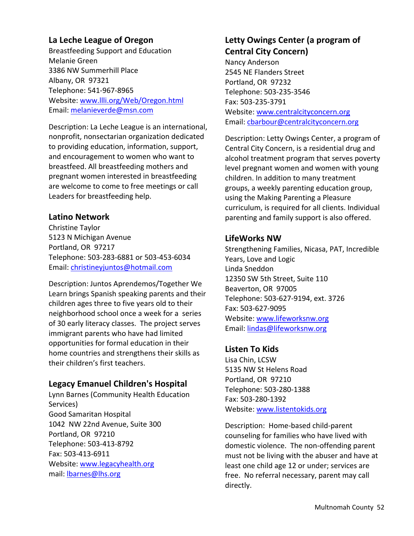# **La Leche League of Oregon**

Breastfeeding Support and Education Melanie Green 3386 NW Summerhill Place Albany, OR 97321 Telephone: 541‐967‐8965 Website: www.llli.org/Web/Oregon.html Email: melanieverde@msn.com

Description: La Leche League is an international, nonprofit, nonsectarian organization dedicated to providing education, information, support, and encouragement to women who want to breastfeed. All breastfeeding mothers and pregnant women interested in breastfeeding are welcome to come to free meetings or call Leaders for breastfeeding help.

## **Latino Network**

Christine Taylor 5123 N Michigan Avenue Portland, OR 97217 Telephone: 503‐283‐6881 or 503‐453‐6034 Email: christineyjuntos@hotmail.com

Description: Juntos Aprendemos/Together We Learn brings Spanish speaking parents and their children ages three to five years old to their neighborhood school once a week for a series of 30 early literacy classes. The project serves immigrant parents who have had limited opportunities for formal education in their home countries and strengthens their skills as their children's first teachers.

## **Legacy Emanuel Children's Hospital**

Lynn Barnes (Community Health Education Services) Good Samaritan Hospital 1042 NW 22nd Avenue, Suite 300 Portland, OR 97210 Telephone: 503‐413‐8792 Fax: 503‐413‐6911 Website: www.legacyhealth.org mail: lbarnes@lhs.org

# **Letty Owings Center (a program of Central City Concern)**

Nancy Anderson 2545 NE Flanders Street Portland, OR 97232 Telephone: 503‐235‐3546 Fax: 503‐235‐3791 Website: www.centralcityconcern.org Email: cbarbour@centralcityconcern.org

Description: Letty Owings Center, a program of Central City Concern, is a residential drug and alcohol treatment program that serves poverty level pregnant women and women with young children. In addition to many treatment groups, a weekly parenting education group, using the Making Parenting a Pleasure curriculum, is required for all clients. Individual parenting and family support is also offered.

#### **LifeWorks NW**

Strengthening Families, Nicasa, PAT, Incredible Years, Love and Logic Linda Sneddon 12350 SW 5th Street, Suite 110 Beaverton, OR 97005 Telephone: 503‐627‐9194, ext. 3726 Fax: 503‐627‐9095 Website: www.lifeworksnw.org Email: lindas@lifeworksnw.org

## **Listen To Kids**

Lisa Chin, LCSW 5135 NW St Helens Road Portland, OR 97210 Telephone: 503‐280‐1388 Fax: 503‐280‐1392 Website: www.listentokids.org

Description: Home‐based child‐parent counseling for families who have lived with domestic violence. The non‐offending parent must not be living with the abuser and have at least one child age 12 or under; services are free. No referral necessary, parent may call directly.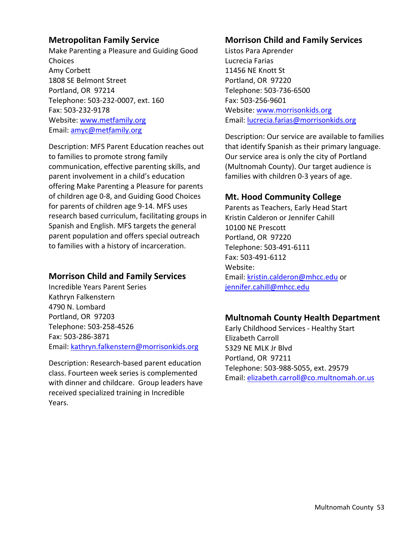#### **Metropolitan Family Service**

Make Parenting a Pleasure and Guiding Good Choices Amy Corbett 1808 SE Belmont Street Portland, OR 97214 Telephone: 503‐232‐0007, ext. 160 Fax: 503‐232‐9178 Website: www.metfamily.org Email: amyc@metfamily.org

Description: MFS Parent Education reaches out to families to promote strong family communication, effective parenting skills, and parent involvement in a child's education offering Make Parenting a Pleasure for parents of children age 0‐8, and Guiding Good Choices for parents of children age 9‐14. MFS uses research based curriculum, facilitating groups in Spanish and English. MFS targets the general parent population and offers special outreach to families with a history of incarceration.

# **Morrison Child and Family Services**

Incredible Years Parent Series Kathryn Falkenstern 4790 N. Lombard Portland, OR 97203 Telephone: 503‐258‐4526 Fax: 503‐286‐3871 Email: kathryn.falkenstern@morrisonkids.org

Description: Research‐based parent education class. Fourteen week series is complemented with dinner and childcare. Group leaders have received specialized training in Incredible Years.

# **Morrison Child and Family Services**

Listos Para Aprender Lucrecia Farias 11456 NE Knott St Portland, OR 97220 Telephone: 503‐736‐6500 Fax: 503‐256‐9601 Website: www.morrisonkids.org Email: lucrecia.farias@morrisonkids.org

Description: Our service are available to families that identify Spanish as their primary language. Our service area is only the city of Portland (Multnomah County). Our target audience is families with children 0‐3 years of age.

## **Mt. Hood Community College**

Parents as Teachers, Early Head Start Kristin Calderon or Jennifer Cahill 10100 NE Prescott Portland, OR 97220 Telephone: 503‐491‐6111 Fax: 503‐491‐6112 Website: Email: kristin.calderon@mhcc.edu or jennifer.cahill@mhcc.edu

## **Multnomah County Health Department**

Early Childhood Services ‐ Healthy Start Elizabeth Carroll 5329 NE MLK Jr Blvd Portland, OR 97211 Telephone: 503‐988‐5055, ext. 29579 Email: elizabeth.carroll@co.multnomah.or.us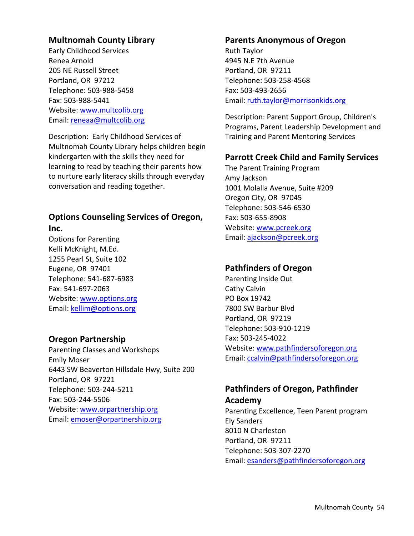# **Multnomah County Library**

Early Childhood Services Renea Arnold 205 NE Russell Street Portland, OR 97212 Telephone: 503‐988‐5458 Fax: 503‐988‐5441 Website: www.multcolib.org Email: reneaa@multcolib.org

Description: Early Childhood Services of Multnomah County Library helps children begin kindergarten with the skills they need for learning to read by teaching their parents how to nurture early literacy skills through everyday conversation and reading together.

## **Options Counseling Services of Oregon, Inc.**

Options for Parenting Kelli McKnight, M.Ed. 1255 Pearl St, Suite 102 Eugene, OR 97401 Telephone: 541‐687‐6983 Fax: 541‐697‐2063 Website: www.options.org Email: kellim@options.org

## **Oregon Partnership**

Parenting Classes and Workshops Emily Moser 6443 SW Beaverton Hillsdale Hwy, Suite 200 Portland, OR 97221 Telephone: 503‐244‐5211 Fax: 503‐244‐5506 Website: www.orpartnership.org Email: emoser@orpartnership.org

#### **Parents Anonymous of Oregon**

Ruth Taylor 4945 N.E 7th Avenue Portland, OR 97211 Telephone: 503‐258‐4568 Fax: 503‐493‐2656 Email: ruth.taylor@morrisonkids.org

Description: Parent Support Group, Children's Programs, Parent Leadership Development and Training and Parent Mentoring Services

#### **Parrott Creek Child and Family Services**

The Parent Training Program Amy Jackson 1001 Molalla Avenue, Suite #209 Oregon City, OR 97045 Telephone: 503‐546‐6530 Fax: 503‐655‐8908 Website: www.pcreek.org Email: ajackson@pcreek.org

#### **Pathfinders of Oregon**

Parenting Inside Out Cathy Calvin PO Box 19742 7800 SW Barbur Blvd Portland, OR 97219 Telephone: 503‐910‐1219 Fax: 503‐245‐4022 Website: www.pathfindersoforegon.org Email: ccalvin@pathfindersoforegon.org

# **Pathfinders of Oregon, Pathfinder Academy**

Parenting Excellence, Teen Parent program Ely Sanders 8010 N Charleston Portland, OR 97211 Telephone: 503‐307‐2270 Email: esanders@pathfindersoforegon.org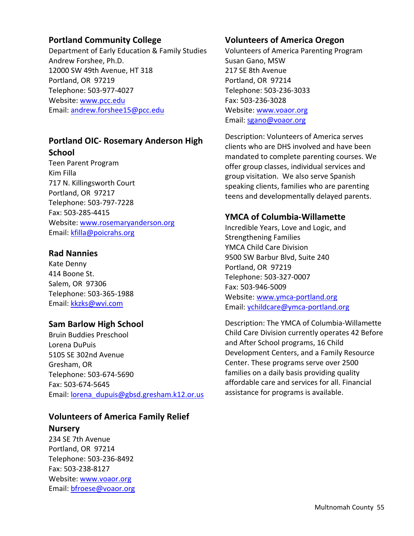## **Portland Community College**

Department of Early Education & Family Studies Andrew Forshee, Ph.D. 12000 SW 49th Avenue, HT 318 Portland, OR 97219 Telephone: 503‐977‐4027 Website: www.pcc.edu Email: andrew.forshee15@pcc.edu

# **Portland OIC‐ Rosemary Anderson High School**

Teen Parent Program Kim Filla 717 N. Killingsworth Court Portland, OR 97217 Telephone: 503‐797‐7228 Fax: 503‐285‐4415 Website: www.rosemaryanderson.org Email: kfilla@poicrahs.org

## **Rad Nannies**

Kate Denny 414 Boone St. Salem, OR 97306 Telephone: 503‐365‐1988 Email: kkzks@wvi.com

#### **Sam Barlow High School**

Bruin Buddies Preschool Lorena DuPuis 5105 SE 302nd Avenue Gresham, OR Telephone: 503‐674‐5690 Fax: 503‐674‐5645 Email: lorena\_dupuis@gbsd.gresham.k12.or.us

# **Volunteers of America Family Relief**

#### **Nursery**

234 SE 7th Avenue Portland, OR 97214 Telephone: 503‐236‐8492 Fax: 503‐238‐8127 Website: www.voaor.org Email: bfroese@voaor.org

#### **Volunteers of America Oregon**

Volunteers of America Parenting Program Susan Gano, MSW 217 SE 8th Avenue Portland, OR 97214 Telephone: 503‐236‐3033 Fax: 503‐236‐3028 Website: www.voaor.org Email: sgano@voaor.org

Description: Volunteers of America serves clients who are DHS involved and have been mandated to complete parenting courses. We offer group classes, individual services and group visitation. We also serve Spanish speaking clients, families who are parenting teens and developmentally delayed parents.

# **YMCA of Columbia‐Willamette**

Incredible Years, Love and Logic, and Strengthening Families YMCA Child Care Division 9500 SW Barbur Blvd, Suite 240 Portland, OR 97219 Telephone: 503‐327‐0007 Fax: 503‐946‐5009 Website: www.ymca‐portland.org Email: ychildcare@ymca‐portland.org

Description: The YMCA of Columbia‐Willamette Child Care Division currently operates 42 Before and After School programs, 16 Child Development Centers, and a Family Resource Center. These programs serve over 2500 families on a daily basis providing quality affordable care and services for all. Financial assistance for programs is available.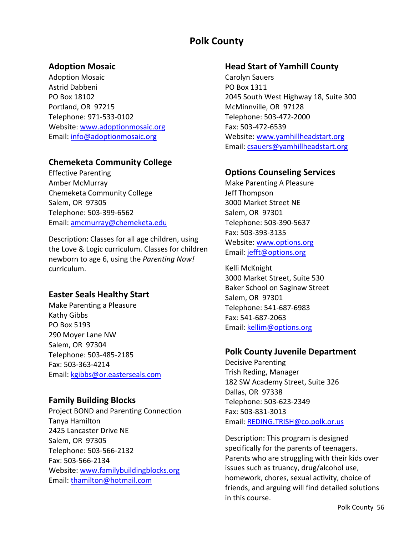# **Polk County**

#### **Adoption Mosaic**

Adoption Mosaic Astrid Dabbeni PO Box 18102 Portland, OR 97215 Telephone: 971‐533‐0102 Website: www.adoptionmosaic.org Email: info@adoptionmosaic.org

# **Chemeketa Community College**

Effective Parenting Amber McMurray Chemeketa Community College Salem, OR 97305 Telephone: 503‐399‐6562 Email: amcmurray@chemeketa.edu

Description: Classes for all age children, using the Love & Logic curriculum. Classes for children newborn to age 6, using the *Parenting Now!* curriculum.

## **Easter Seals Healthy Start**

Make Parenting a Pleasure Kathy Gibbs PO Box 5193 290 Moyer Lane NW Salem, OR 97304 Telephone: 503‐485‐2185 Fax: 503‐363‐4214 Email: kgibbs@or.easterseals.com

#### **Family Building Blocks**

Project BOND and Parenting Connection Tanya Hamilton 2425 Lancaster Drive NE Salem, OR 97305 Telephone: 503‐566‐2132 Fax: 503‐566‐2134 Website: www.familybuildingblocks.org Email: thamilton@hotmail.com

### **Head Start of Yamhill County**

Carolyn Sauers PO Box 1311 2045 South West Highway 18, Suite 300 McMinnville, OR 97128 Telephone: 503‐472‐2000 Fax: 503‐472‐6539 Website: www.yamhillheadstart.org Email: csauers@yamhillheadstart.org

## **Options Counseling Services**

Make Parenting A Pleasure Jeff Thompson 3000 Market Street NE Salem, OR 97301 Telephone: 503‐390‐5637 Fax: 503‐393‐3135 Website: www.options.org Email: jefft@options.org

Kelli McKnight 3000 Market Street, Suite 530 Baker School on Saginaw Street Salem, OR 97301 Telephone: 541‐687‐6983 Fax: 541‐687‐2063 Email: kellim@options.org

## **Polk County Juvenile Department**

Decisive Parenting Trish Reding, Manager 182 SW Academy Street, Suite 326 Dallas, OR 97338 Telephone: 503‐623‐2349 Fax: 503‐831‐3013 Email: REDING.TRISH@co.polk.or.us

Description: This program is designed specifically for the parents of teenagers. Parents who are struggling with their kids over issues such as truancy, drug/alcohol use, homework, chores, sexual activity, choice of friends, and arguing will find detailed solutions in this course.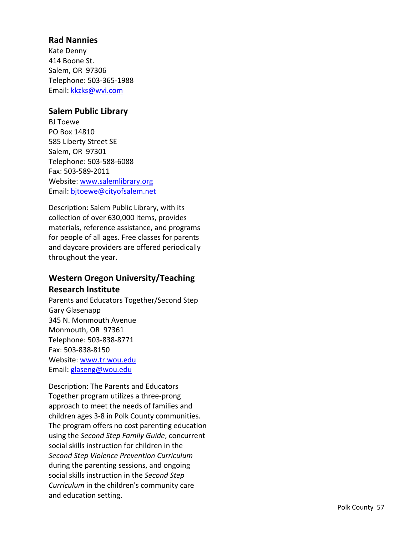# **Rad Nannies**

Kate Denny 414 Boone St. Salem, OR 97306 Telephone: 503 ‐365 ‐1988 Email: kkzks@wvi.com

## **Salem Public Library**

BJ Toewe PO Box 14810 585 Liberty Street SE Salem, OR 97301 Telephone: 503 ‐588 ‐6088 Fax: 503 ‐589 ‐2011 Website: www.salemlibrary.org Email: bjtoewe@cityofsalem.net

Description: Salem Public Library, with its collection of over 630,000 items, provides materials, reference assistance, and programs for people of all ages. Free classes for parents and daycare providers are offered periodically throughout the year.

# **Western Oregon University/Teaching Research Institute**

Parents and Educators Together/Second Step Gary Glasenapp 345 N. Monmouth Avenue Monmouth, OR 97361 Telephone: 503 ‐838 ‐8771 Fax: 503 ‐838 ‐8150 Website: www.tr.wou.edu Email: glaseng@wou.edu

Description: The Parents and Educators Together program utilizes a three ‐prong approach to meet the needs of families and children ages 3 ‐ 8 in Polk County communities. The program offers no cost parenting education using the *Second Step Family Guide* , concurrent social skills instruction for children in the *Second Step Violence Prevention Curriculum* during the parenting sessions, and ongoing social skills instruction in the *Second Step Curriculum* in the children's community care and education setting.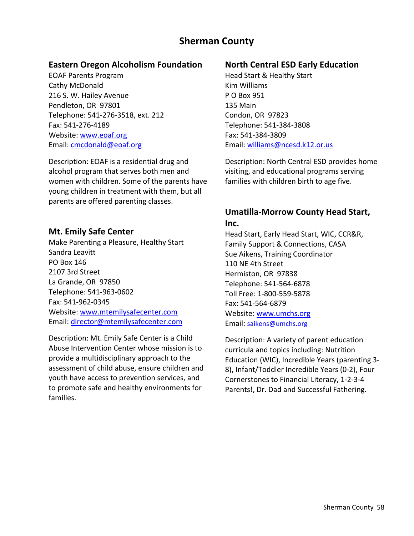# **Sherman County**

# **Eastern Oregon Alcoholism Foundation**

EOAF Parents Program Cathy McDonald 216 S. W. Hailey Avenue Pendleton, OR 97801 Telephone: 541‐276‐3518, ext. 212 Fax: 541‐276‐4189 Website: www.eoaf.org Email: cmcdonald@eoaf.org

Description: EOAF is a residential drug and alcohol program that serves both men and women with children. Some of the parents have young children in treatment with them, but all parents are offered parenting classes.

# **Mt. Emily Safe Center**

Make Parenting a Pleasure, Healthy Start Sandra Leavitt PO Box 146 2107 3rd Street La Grande, OR 97850 Telephone: 541‐963‐0602 Fax: 541‐962‐0345 Website: www.mtemilysafecenter.com Email: director@mtemilysafecenter.com

Description: Mt. Emily Safe Center is a Child Abuse Intervention Center whose mission is to provide a multidisciplinary approach to the assessment of child abuse, ensure children and youth have access to prevention services, and to promote safe and healthy environments for families.

# **North Central ESD Early Education**

Head Start & Healthy Start Kim Williams P O Box 951 135 Main Condon, OR 97823 Telephone: 541‐384‐3808 Fax: 541‐384‐3809 Email: williams@ncesd.k12.or.us

Description: North Central ESD provides home visiting, and educational programs serving families with children birth to age five.

# **Umatilla‐Morrow County Head Start, Inc.**

Head Start, Early Head Start, WIC, CCR&R, Family Support & Connections, CASA Sue Aikens, Training Coordinator 110 NE 4th Street Hermiston, OR 97838 Telephone: 541‐564‐6878 Toll Free: 1‐800‐559‐5878 Fax: 541‐564‐6879 Website: www.umchs.org Email: saikens@umchs.org

Description: A variety of parent education curricula and topics including: Nutrition Education (WIC), Incredible Years (parenting 3‐ 8), Infant/Toddler Incredible Years (0‐2), Four Cornerstones to Financial Literacy, 1‐2‐3‐4 Parents!, Dr. Dad and Successful Fathering.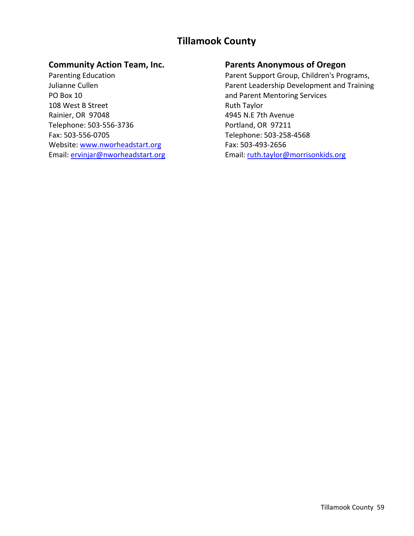# **Tillamook County**

## **Community Action Team, Inc.**

Parenting Education Julianne Cullen PO Box 10 108 West B Street Rainier, OR 97048 Telephone: 503‐556‐3736 Fax: 503‐556‐0705 Website: www.nworheadstart.org Email: ervinjar@nworheadstart.org

# **Parents Anonymous of Oregon**

Parent Support Group, Children's Programs, Parent Leadership Development and Training and Parent Mentoring Services Ruth Taylor 4945 N.E 7th Avenue Portland, OR 97211 Telephone: 503‐258‐4568 Fax: 503‐493‐2656 Email: ruth.taylor@morrisonkids.org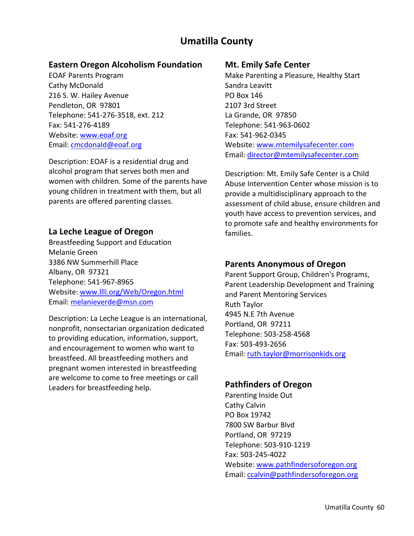# **Umatilla County**

## **Eastern Oregon Alcoholism Foundation**

EOAF Parents Program Cathy McDonald 216 S. W. Hailey Avenue Pendleton, OR 97801 Telephone: 541‐276‐3518, ext. 212 Fax: 541‐276‐4189 Website: www.eoaf.org Email: cmcdonald@eoaf.org

Description: EOAF is a residential drug and alcohol program that serves both men and women with children. Some of the parents have young children in treatment with them, but all parents are offered parenting classes.

## **La Leche League of Oregon**

Breastfeeding Support and Education Melanie Green 3386 NW Summerhill Place Albany, OR 97321 Telephone: 541‐967‐8965 Website: www.llli.org/Web/Oregon.html Email: melanieverde@msn.com

Description: La Leche League is an international, nonprofit, nonsectarian organization dedicated to providing education, information, support, and encouragement to women who want to breastfeed. All breastfeeding mothers and pregnant women interested in breastfeeding are welcome to come to free meetings or call Leaders for breastfeeding help.

#### **Mt. Emily Safe Center**

Make Parenting a Pleasure, Healthy Start Sandra Leavitt PO Box 146 2107 3rd Street La Grande, OR 97850 Telephone: 541‐963‐0602 Fax: 541‐962‐0345 Website: www.mtemilysafecenter.com Email: director@mtemilysafecenter.com

Description: Mt. Emily Safe Center is a Child Abuse Intervention Center whose mission is to provide a multidisciplinary approach to the assessment of child abuse, ensure children and youth have access to prevention services, and to promote safe and healthy environments for families.

## **Parents Anonymous of Oregon**

Parent Support Group, Children's Programs, Parent Leadership Development and Training and Parent Mentoring Services Ruth Taylor 4945 N.E 7th Avenue Portland, OR 97211 Telephone: 503‐258‐4568 Fax: 503‐493‐2656 Email: ruth.taylor@morrisonkids.org

## **Pathfinders of Oregon**

Parenting Inside Out Cathy Calvin PO Box 19742 7800 SW Barbur Blvd Portland, OR 97219 Telephone: 503‐910‐1219 Fax: 503‐245‐4022 Website: www.pathfindersoforegon.org Email: ccalvin@pathfindersoforegon.org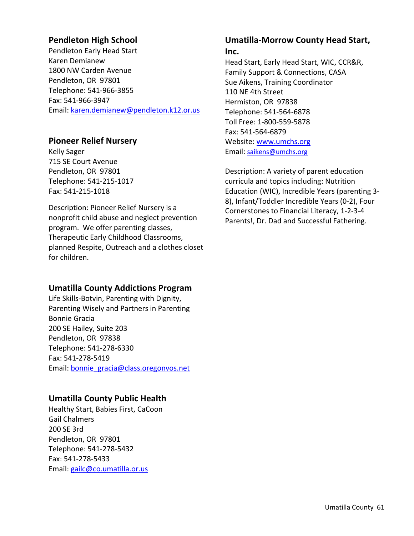# **Pendleton High School**

Pendleton Early Head Start Karen Demianew 1800 NW Carden Avenue Pendleton, OR 97801 Telephone: 541‐966‐3855 Fax: 541‐966‐3947 Email: karen.demianew@pendleton.k12.or.us

# **Pioneer Relief Nursery**

Kelly Sager 715 SE Court Avenue Pendleton, OR 97801 Telephone: 541‐215‐1017 Fax: 541‐215‐1018

Description: Pioneer Relief Nursery is a nonprofit child abuse and neglect prevention program. We offer parenting classes, Therapeutic Early Childhood Classrooms, planned Respite, Outreach and a clothes closet for children.

# **Umatilla County Addictions Program**

Life Skills‐Botvin, Parenting with Dignity, Parenting Wisely and Partners in Parenting Bonnie Gracia 200 SE Hailey, Suite 203 Pendleton, OR 97838 Telephone: 541‐278‐6330 Fax: 541‐278‐5419 Email: bonnie\_gracia@class.oregonvos.net

# **Umatilla County Public Health**

Healthy Start, Babies First, CaCoon Gail Chalmers 200 SE 3rd Pendleton, OR 97801 Telephone: 541‐278‐5432 Fax: 541‐278‐5433 Email: gailc@co.umatilla.or.us

# **Umatilla‐Morrow County Head Start,**

#### **Inc.**

Head Start, Early Head Start, WIC, CCR&R, Family Support & Connections, CASA Sue Aikens, Training Coordinator 110 NE 4th Street Hermiston, OR 97838 Telephone: 541‐564‐6878 Toll Free: 1‐800‐559‐5878 Fax: 541‐564‐6879 Website: www.umchs.org Email: saikens@umchs.org

Description: A variety of parent education curricula and topics including: Nutrition Education (WIC), Incredible Years (parenting 3‐ 8), Infant/Toddler Incredible Years (0‐2), Four Cornerstones to Financial Literacy, 1‐2‐3‐4 Parents!, Dr. Dad and Successful Fathering.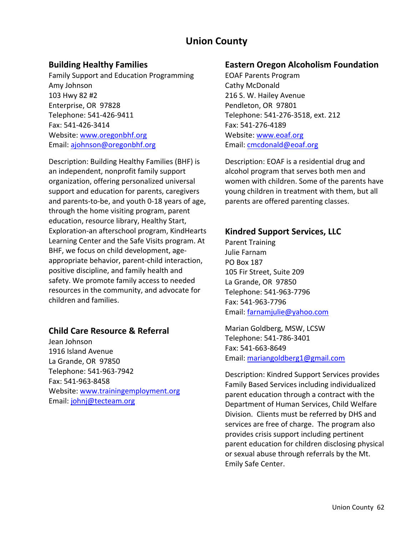# **Union County**

## **Building Healthy Families**

Family Support and Education Programming Amy Johnson 103 Hwy 82 #2 Enterprise, OR 97828 Telephone: 541‐426‐9411 Fax: 541‐426‐3414 Website: www.oregonbhf.org Email: ajohnson@oregonbhf.org

Description: Building Healthy Families (BHF) is an independent, nonprofit family support organization, offering personalized universal support and education for parents, caregivers and parents‐to‐be, and youth 0‐18 years of age, through the home visiting program, parent education, resource library, Healthy Start, Exploration‐an afterschool program, KindHearts Learning Center and the Safe Visits program. At BHF, we focus on child development, age‐ appropriate behavior, parent‐child interaction, positive discipline, and family health and safety. We promote family access to needed resources in the community, and advocate for children and families.

## **Child Care Resource & Referral**

Jean Johnson 1916 Island Avenue La Grande, OR 97850 Telephone: 541‐963‐7942 Fax: 541‐963‐8458 Website: www.trainingemployment.org Email: johnj@tecteam.org

#### **Eastern Oregon Alcoholism Foundation**

EOAF Parents Program Cathy McDonald 216 S. W. Hailey Avenue Pendleton, OR 97801 Telephone: 541‐276‐3518, ext. 212 Fax: 541‐276‐4189 Website: www.eoaf.org Email: cmcdonald@eoaf.org

Description: EOAF is a residential drug and alcohol program that serves both men and women with children. Some of the parents have young children in treatment with them, but all parents are offered parenting classes.

#### **Kindred Support Services, LLC**

Parent Training Julie Farnam PO Box 187 105 Fir Street, Suite 209 La Grande, OR 97850 Telephone: 541‐963‐7796 Fax: 541‐963‐7796 Email: farnamjulie@yahoo.com

Marian Goldberg, MSW, LCSW Telephone: 541‐786‐3401 Fax: 541‐663‐8649 Email: mariangoldberg1@gmail.com

Description: Kindred Support Services provides Family Based Services including individualized parent education through a contract with the Department of Human Services, Child Welfare Division. Clients must be referred by DHS and services are free of charge. The program also provides crisis support including pertinent parent education for children disclosing physical or sexual abuse through referrals by the Mt. Emily Safe Center.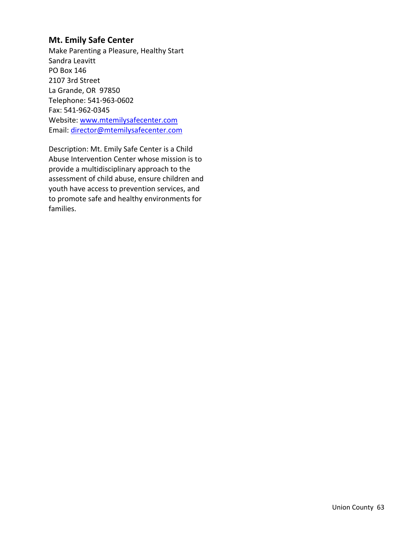### **Mt. Emily Safe Center**

Make Parenting a Pleasure, Healthy Start Sandra Leavitt PO Box 146 2107 3rd Street La Grande, OR 97850 Telephone: 541‐963‐0602 Fax: 541‐962‐0345 Website: www.mtemilysafecenter.com Email: director@mtemilysafecenter.com

Description: Mt. Emily Safe Center is a Child Abuse Intervention Center whose mission is to provide a multidisciplinary approach to the assessment of child abuse, ensure children and youth have access to prevention services, and to promote safe and healthy environments for families.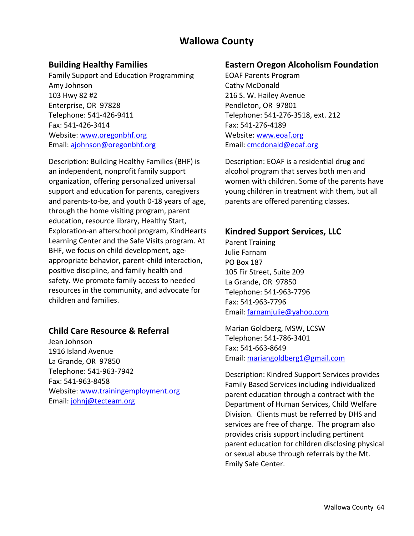# **Wallowa County**

## **Building Healthy Families**

Family Support and Education Programming Amy Johnson 103 Hwy 82 #2 Enterprise, OR 97828 Telephone: 541‐426‐9411 Fax: 541‐426‐3414 Website: www.oregonbhf.org Email: ajohnson@oregonbhf.org

Description: Building Healthy Families (BHF) is an independent, nonprofit family support organization, offering personalized universal support and education for parents, caregivers and parents‐to‐be, and youth 0‐18 years of age, through the home visiting program, parent education, resource library, Healthy Start, Exploration‐an afterschool program, KindHearts Learning Center and the Safe Visits program. At BHF, we focus on child development, age‐ appropriate behavior, parent‐child interaction, positive discipline, and family health and safety. We promote family access to needed resources in the community, and advocate for children and families.

## **Child Care Resource & Referral**

Jean Johnson 1916 Island Avenue La Grande, OR 97850 Telephone: 541‐963‐7942 Fax: 541‐963‐8458 Website: www.trainingemployment.org Email: johnj@tecteam.org

#### **Eastern Oregon Alcoholism Foundation**

EOAF Parents Program Cathy McDonald 216 S. W. Hailey Avenue Pendleton, OR 97801 Telephone: 541‐276‐3518, ext. 212 Fax: 541‐276‐4189 Website: www.eoaf.org Email: cmcdonald@eoaf.org

Description: EOAF is a residential drug and alcohol program that serves both men and women with children. Some of the parents have young children in treatment with them, but all parents are offered parenting classes.

#### **Kindred Support Services, LLC**

Parent Training Julie Farnam PO Box 187 105 Fir Street, Suite 209 La Grande, OR 97850 Telephone: 541‐963‐7796 Fax: 541‐963‐7796 Email: farnamjulie@yahoo.com

Marian Goldberg, MSW, LCSW Telephone: 541‐786‐3401 Fax: 541‐663‐8649 Email: mariangoldberg1@gmail.com

Description: Kindred Support Services provides Family Based Services including individualized parent education through a contract with the Department of Human Services, Child Welfare Division. Clients must be referred by DHS and services are free of charge. The program also provides crisis support including pertinent parent education for children disclosing physical or sexual abuse through referrals by the Mt. Emily Safe Center.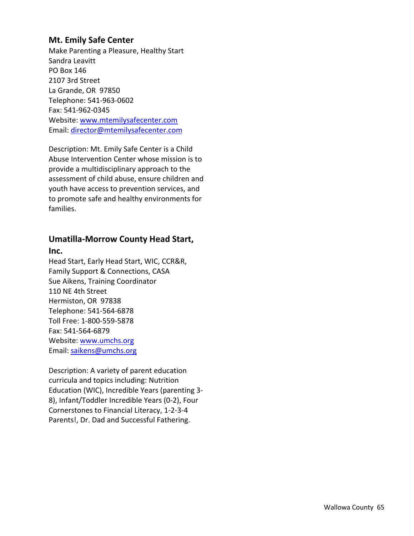### **Mt. Emily Safe Center**

Make Parenting a Pleasure, Healthy Start Sandra Leavitt PO Box 146 2107 3rd Street La Grande, OR 97850 Telephone: 541‐963‐0602 Fax: 541‐962‐0345 Website: www.mtemilysafecenter.com Email: director@mtemilysafecenter.com

Description: Mt. Emily Safe Center is a Child Abuse Intervention Center whose mission is to provide a multidisciplinary approach to the assessment of child abuse, ensure children and youth have access to prevention services, and to promote safe and healthy environments for families.

# **Umatilla‐Morrow County Head Start,**

#### **Inc.**

Head Start, Early Head Start, WIC, CCR&R, Family Support & Connections, CASA Sue Aikens, Training Coordinator 110 NE 4th Street Hermiston, OR 97838 Telephone: 541‐564‐6878 Toll Free: 1‐800‐559‐5878 Fax: 541‐564‐6879 Website: www.umchs.org Email: saikens@umchs.org

Description: A variety of parent education curricula and topics including: Nutrition Education (WIC), Incredible Years (parenting 3‐ 8), Infant/Toddler Incredible Years (0‐2), Four Cornerstones to Financial Literacy, 1‐2‐3‐4 Parents!, Dr. Dad and Successful Fathering.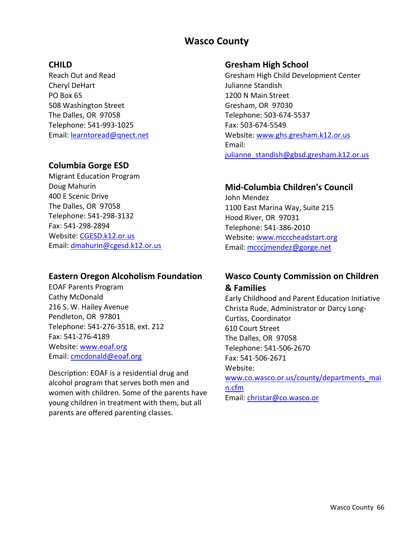# **Wasco County**

# **CHILD**

Reach Out and Read Cheryl DeHart PO Box 65 508 Washington Street The Dalles, OR 97058 Telephone: 541‐993‐1025 Email: learntoread@qnect.net

# **Columbia Gorge ESD**

Migrant Education Program Doug Mahurin 400 E Scenic Drive The Dalles, OR 97058 Telephone: 541‐298‐3132 Fax: 541‐298‐2894 Website: CGESD.k12.or.us Email: dmahurin@cgesd.k12.or.us

# **Eastern Oregon Alcoholism Foundation**

EOAF Parents Program Cathy McDonald 216 S. W. Hailey Avenue Pendleton, OR 97801 Telephone: 541‐276‐3518, ext. 212 Fax: 541‐276‐4189 Website: www.eoaf.org Email: cmcdonald@eoaf.org

Description: EOAF is a residential drug and alcohol program that serves both men and women with children. Some of the parents have young children in treatment with them, but all parents are offered parenting classes.

### **Gresham High School**

Gresham High Child Development Center Julianne Standish 1200 N Main Street Gresham, OR 97030 Telephone: 503‐674‐5537 Fax: 503‐674‐5549 Website: www.ghs.gresham.k12.or.us Email: julianne standish@gbsd.gresham.k12.or.us

# **Mid‐Columbia Children's Council**

John Mendez 1100 East Marina Way, Suite 215 Hood River, OR 97031 Telephone: 541‐386‐2010 Website: www.mcccheadstart.org Email: mcccjmendez@gorge.net

# **Wasco County Commission on Children & Families**

Early Childhood and Parent Education Initiative Christa Rude, Administrator or Darcy Long‐ Curtiss, Coordinator 610 Court Street The Dalles, OR 97058 Telephone: 541‐506‐2670 Fax: 541‐506‐2671 Website: www.co.wasco.or.us/county/departments\_mai n.cfm Email: christar@co.wasco.or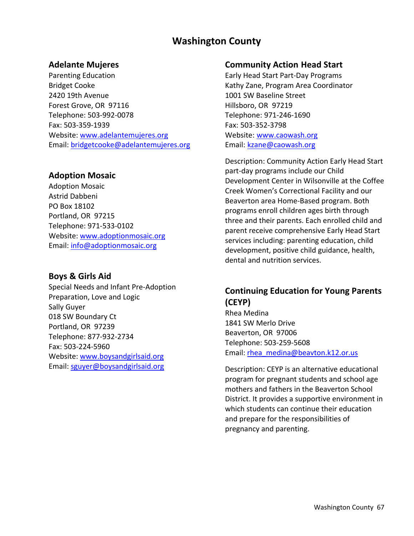# **Washington County**

### **Adelante Mujeres**

Parenting Education Bridget Cooke 2420 19th Avenue Forest Grove, OR 97116 Telephone: 503‐992‐0078 Fax: 503‐359‐1939 Website: www.adelantemujeres.org Email: bridgetcooke@adelantemujeres.org

## **Adoption Mosaic**

Adoption Mosaic Astrid Dabbeni PO Box 18102 Portland, OR 97215 Telephone: 971‐533‐0102 Website: www.adoptionmosaic.org Email: info@adoptionmosaic.org

## **Boys & Girls Aid**

Special Needs and Infant Pre‐Adoption Preparation, Love and Logic Sally Guyer 018 SW Boundary Ct Portland, OR 97239 Telephone: 877‐932‐2734 Fax: 503‐224‐5960 Website: www.boysandgirlsaid.org Email: sguyer@boysandgirlsaid.org

#### **Community Action Head Start**

Early Head Start Part‐Day Programs Kathy Zane, Program Area Coordinator 1001 SW Baseline Street Hillsboro, OR 97219 Telephone: 971‐246‐1690 Fax: 503‐352‐3798 Website: www.caowash.org Email: kzane@caowash.org

Description: Community Action Early Head Start part‐day programs include our Child Development Center in Wilsonville at the Coffee Creek Women's Correctional Facility and our Beaverton area Home‐Based program. Both programs enroll children ages birth through three and their parents. Each enrolled child and parent receive comprehensive Early Head Start services including: parenting education, child development, positive child guidance, health, dental and nutrition services.

# **Continuing Education for Young Parents (CEYP)**

Rhea Medina 1841 SW Merlo Drive Beaverton, OR 97006 Telephone: 503‐259‐5608 Email: rhea\_medina@beavton.k12.or.us

Description: CEYP is an alternative educational program for pregnant students and school age mothers and fathers in the Beaverton School District. It provides a supportive environment in which students can continue their education and prepare for the responsibilities of pregnancy and parenting.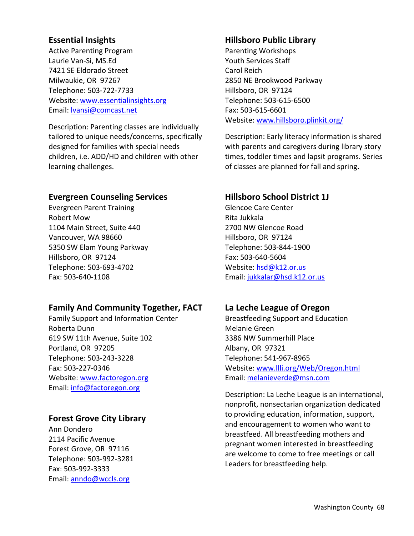# **Essential Insights**

Active Parenting Program Laurie Van‐Si, MS.Ed 7421 SE Eldorado Street Milwaukie, OR 97267 Telephone: 503‐722‐7733 Website: www.essentialinsights.org Email: lvansi@comcast.net

Description: Parenting classes are individually tailored to unique needs/concerns, specifically designed for families with special needs children, i.e. ADD/HD and children with other learning challenges.

## **Evergreen Counseling Services**

Evergreen Parent Training Robert Mow 1104 Main Street, Suite 440 Vancouver, WA 98660 5350 SW Elam Young Parkway Hillsboro, OR 97124 Telephone: 503‐693‐4702 Fax: 503‐640‐1108

## **Family And Community Together, FACT**

Family Support and Information Center Roberta Dunn 619 SW 11th Avenue, Suite 102 Portland, OR 97205 Telephone: 503‐243‐3228 Fax: 503‐227‐0346 Website: www.factoregon.org Email: info@factoregon.org

## **Forest Grove City Library**

Ann Dondero 2114 Pacific Avenue Forest Grove, OR 97116 Telephone: 503‐992‐3281 Fax: 503‐992‐3333 Email: anndo@wccls.org

# **Hillsboro Public Library**

Parenting Workshops Youth Services Staff Carol Reich 2850 NE Brookwood Parkway Hillsboro, OR 97124 Telephone: 503‐615‐6500 Fax: 503‐615‐6601 Website: www.hillsboro.plinkit.org/

Description: Early literacy information is shared with parents and caregivers during library story times, toddler times and lapsit programs. Series of classes are planned for fall and spring.

# **Hillsboro School District 1J**

Glencoe Care Center Rita Jukkala 2700 NW Glencoe Road Hillsboro, OR 97124 Telephone: 503‐844‐1900 Fax: 503‐640‐5604 Website: hsd@k12.or.us Email: jukkalar@hsd.k12.or.us

## **La Leche League of Oregon**

Breastfeeding Support and Education Melanie Green 3386 NW Summerhill Place Albany, OR 97321 Telephone: 541‐967‐8965 Website: www.llli.org/Web/Oregon.html Email: melanieverde@msn.com

Description: La Leche League is an international, nonprofit, nonsectarian organization dedicated to providing education, information, support, and encouragement to women who want to breastfeed. All breastfeeding mothers and pregnant women interested in breastfeeding are welcome to come to free meetings or call Leaders for breastfeeding help.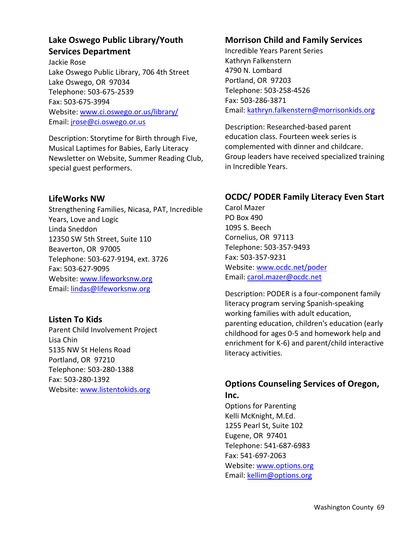# **Lake Oswego Public Library/Youth Services Department**

Jackie Rose Lake Oswego Public Library, 706 4th Street Lake Oswego, OR 97034 Telephone: 503‐675‐2539 Fax: 503‐675‐3994 Website: www.ci.oswego.or.us/library/ Email: jrose@ci.oswego.or.us

Description: Storytime for Birth through Five, Musical Laptimes for Babies, Early Literacy Newsletter on Website, Summer Reading Club, special guest performers.

# **LifeWorks NW**

Strengthening Families, Nicasa, PAT, Incredible Years, Love and Logic Linda Sneddon 12350 SW 5th Street, Suite 110 Beaverton, OR 97005 Telephone: 503‐627‐9194, ext. 3726 Fax: 503‐627‐9095 Website: www.lifeworksnw.org Email: lindas@lifeworksnw.org

# **Listen To Kids**

Parent Child Involvement Project Lisa Chin 5135 NW St Helens Road Portland, OR 97210 Telephone: 503‐280‐1388 Fax: 503‐280‐1392 Website: www.listentokids.org

# **Morrison Child and Family Services**

Incredible Years Parent Series Kathryn Falkenstern 4790 N. Lombard Portland, OR 97203 Telephone: 503‐258‐4526 Fax: 503‐286‐3871 Email: kathryn.falkenstern@morrisonkids.org

Description: Researched‐based parent education class. Fourteen week series is complemented with dinner and childcare. Group leaders have received specialized training in Incredible Years.

# **OCDC/ PODER Family Literacy Even Start**

Carol Mazer PO Box 490 1095 S. Beech Cornelius, OR 97113 Telephone: 503‐357‐9493 Fax: 503‐357‐9231 Website: www.ocdc.net/poder Email: carol.mazer@ocdc.net

Description: PODER is a four‐component family literacy program serving Spanish‐speaking working families with adult education, parenting education, children's education (early childhood for ages 0‐5 and homework help and enrichment for K‐6) and parent/child interactive literacy activities.

# **Options Counseling Services of Oregon, Inc.**

Options for Parenting Kelli McKnight, M.Ed. 1255 Pearl St, Suite 102 Eugene, OR 97401 Telephone: 541‐687‐6983 Fax: 541‐697‐2063 Website: www.options.org Email: kellim@options.org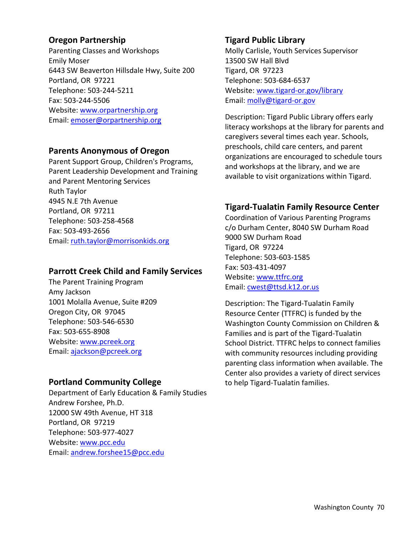# **Oregon Partnership**

Parenting Classes and Workshops Emily Moser 6443 SW Beaverton Hillsdale Hwy, Suite 200 Portland, OR 97221 Telephone: 503‐244‐5211 Fax: 503‐244‐5506 Website: www.orpartnership.org Email: emoser@orpartnership.org

## **Parents Anonymous of Oregon**

Parent Support Group, Children's Programs, Parent Leadership Development and Training and Parent Mentoring Services Ruth Taylor 4945 N.E 7th Avenue Portland, OR 97211 Telephone: 503‐258‐4568 Fax: 503‐493‐2656 Email: ruth.taylor@morrisonkids.org

## **Parrott Creek Child and Family Services**

The Parent Training Program Amy Jackson 1001 Molalla Avenue, Suite #209 Oregon City, OR 97045 Telephone: 503‐546‐6530 Fax: 503‐655‐8908 Website: www.pcreek.org Email: ajackson@pcreek.org

## **Portland Community College**

Department of Early Education & Family Studies Andrew Forshee, Ph.D. 12000 SW 49th Avenue, HT 318 Portland, OR 97219 Telephone: 503‐977‐4027 Website: www.pcc.edu Email: andrew.forshee15@pcc.edu

## **Tigard Public Library**

Molly Carlisle, Youth Services Supervisor 13500 SW Hall Blvd Tigard, OR 97223 Telephone: 503‐684‐6537 Website: www.tigard‐or.gov/library Email: molly@tigard-or.gov

Description: Tigard Public Library offers early literacy workshops at the library for parents and caregivers several times each year. Schools, preschools, child care centers, and parent organizations are encouraged to schedule tours and workshops at the library, and we are available to visit organizations within Tigard.

# **Tigard‐Tualatin Family Resource Center**

Coordination of Various Parenting Programs c/o Durham Center, 8040 SW Durham Road 9000 SW Durham Road Tigard, OR 97224 Telephone: 503‐603‐1585 Fax: 503‐431‐4097 Website: www.ttfrc.org Email: cwest@ttsd.k12.or.us

Description: The Tigard‐Tualatin Family Resource Center (TTFRC) is funded by the Washington County Commission on Children & Families and is part of the Tigard‐Tualatin School District. TTFRC helps to connect families with community resources including providing parenting class information when available. The Center also provides a variety of direct services to help Tigard‐Tualatin families.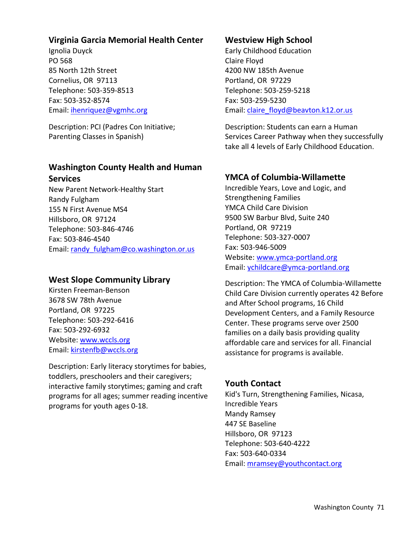## **Virginia Garcia Memorial Health Center**

Ignolia Duyck PO 568 85 North 12th Street Cornelius, OR 97113 Telephone: 503‐359‐8513 Fax: 503‐352‐8574 Email: ihenriquez@vgmhc.org

Description: PCI (Padres Con Initiative; Parenting Classes in Spanish)

# **Washington County Health and Human Services**

New Parent Network‐Healthy Start Randy Fulgham 155 N First Avenue MS4 Hillsboro, OR 97124 Telephone: 503‐846‐4746 Fax: 503‐846‐4540 Email: randy\_fulgham@co.washington.or.us

#### **West Slope Community Library**

Kirsten Freeman‐Benson 3678 SW 78th Avenue Portland, OR 97225 Telephone: 503‐292‐6416 Fax: 503‐292‐6932 Website: www.wccls.org Email: kirstenfb@wccls.org

Description: Early literacy storytimes for babies, toddlers, preschoolers and their caregivers; interactive family storytimes; gaming and craft programs for all ages; summer reading incentive programs for youth ages 0‐18.

# **Westview High School**

Early Childhood Education Claire Floyd 4200 NW 185th Avenue Portland, OR 97229 Telephone: 503‐259‐5218 Fax: 503‐259‐5230 Email: claire\_floyd@beavton.k12.or.us

Description: Students can earn a Human Services Career Pathway when they successfully take all 4 levels of Early Childhood Education.

## **YMCA of Columbia‐Willamette**

Incredible Years, Love and Logic, and Strengthening Families YMCA Child Care Division 9500 SW Barbur Blvd, Suite 240 Portland, OR 97219 Telephone: 503‐327‐0007 Fax: 503‐946‐5009 Website: www.ymca-portland.org Email: ychildcare@ymca‐portland.org

Description: The YMCA of Columbia‐Willamette Child Care Division currently operates 42 Before and After School programs, 16 Child Development Centers, and a Family Resource Center. These programs serve over 2500 families on a daily basis providing quality affordable care and services for all. Financial assistance for programs is available.

## **Youth Contact**

Kid's Turn, Strengthening Families, Nicasa, Incredible Years Mandy Ramsey 447 SE Baseline Hillsboro, OR 97123 Telephone: 503‐640‐4222 Fax: 503‐640‐0334 Email: mramsey@youthcontact.org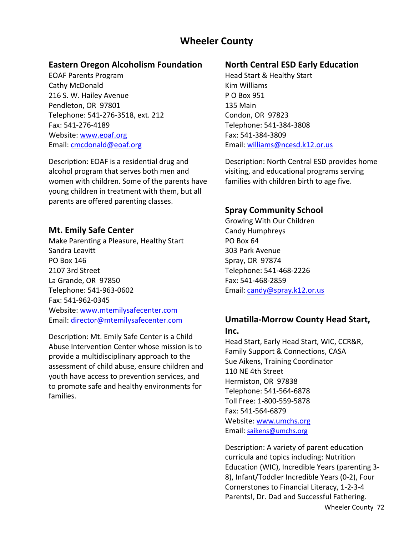# **Wheeler County**

# **Eastern Oregon Alcoholism Foundation**

EOAF Parents Program Cathy McDonald 216 S. W. Hailey Avenue Pendleton, OR 97801 Telephone: 541‐276‐3518, ext. 212 Fax: 541‐276‐4189 Website: www.eoaf.org Email: cmcdonald@eoaf.org

Description: EOAF is a residential drug and alcohol program that serves both men and women with children. Some of the parents have young children in treatment with them, but all parents are offered parenting classes.

## **Mt. Emily Safe Center**

Make Parenting a Pleasure, Healthy Start Sandra Leavitt PO Box 146 2107 3rd Street La Grande, OR 97850 Telephone: 541‐963‐0602 Fax: 541‐962‐0345 Website: www.mtemilysafecenter.com Email: director@mtemilysafecenter.com

Description: Mt. Emily Safe Center is a Child Abuse Intervention Center whose mission is to provide a multidisciplinary approach to the assessment of child abuse, ensure children and youth have access to prevention services, and to promote safe and healthy environments for families.

# **North Central ESD Early Education**

Head Start & Healthy Start Kim Williams P O Box 951 135 Main Condon, OR 97823 Telephone: 541‐384‐3808 Fax: 541‐384‐3809 Email: williams@ncesd.k12.or.us

Description: North Central ESD provides home visiting, and educational programs serving families with children birth to age five.

# **Spray Community School**

Growing With Our Children Candy Humphreys PO Box 64 303 Park Avenue Spray, OR 97874 Telephone: 541‐468‐2226 Fax: 541‐468‐2859 Email: candy@spray.k12.or.us

## **Umatilla‐Morrow County Head Start, Inc.**

Head Start, Early Head Start, WIC, CCR&R, Family Support & Connections, CASA Sue Aikens, Training Coordinator 110 NE 4th Street Hermiston, OR 97838 Telephone: 541‐564‐6878 Toll Free: 1‐800‐559‐5878 Fax: 541‐564‐6879 Website: www.umchs.org Email: saikens@umchs.org

Description: A variety of parent education curricula and topics including: Nutrition Education (WIC), Incredible Years (parenting 3‐ 8), Infant/Toddler Incredible Years (0‐2), Four Cornerstones to Financial Literacy, 1‐2‐3‐4 Parents!, Dr. Dad and Successful Fathering.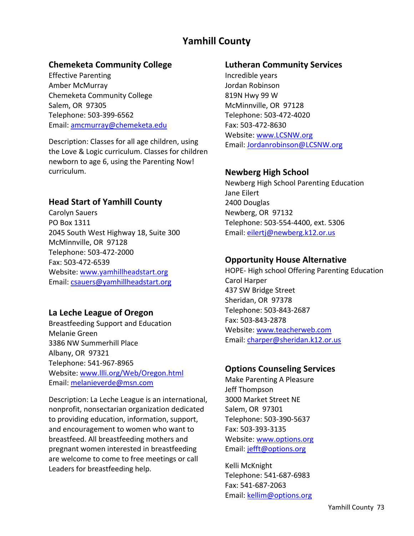# **Yamhill County**

#### **Chemeketa Community College**

Effective Parenting Amber McMurray Chemeketa Community College Salem, OR 97305 Telephone: 503‐399‐6562 Email: amcmurray@chemeketa.edu

Description: Classes for all age children, using the Love & Logic curriculum. Classes for children newborn to age 6, using the Parenting Now! curriculum.

#### **Head Start of Yamhill County**

Carolyn Sauers PO Box 1311 2045 South West Highway 18, Suite 300 McMinnville, OR 97128 Telephone: 503‐472‐2000 Fax: 503‐472‐6539 Website: www.yamhillheadstart.org Email: csauers@yamhillheadstart.org

#### **La Leche League of Oregon**

Breastfeeding Support and Education Melanie Green 3386 NW Summerhill Place Albany, OR 97321 Telephone: 541‐967‐8965 Website: www.llli.org/Web/Oregon.html Email: melanieverde@msn.com

Description: La Leche League is an international, nonprofit, nonsectarian organization dedicated to providing education, information, support, and encouragement to women who want to breastfeed. All breastfeeding mothers and pregnant women interested in breastfeeding are welcome to come to free meetings or call Leaders for breastfeeding help.

#### **Lutheran Community Services**

Incredible years Jordan Robinson 819N Hwy 99 W McMinnville, OR 97128 Telephone: 503‐472‐4020 Fax: 503‐472‐8630 Website: www.LCSNW.org Email: Jordanrobinson@LCSNW.org

#### **Newberg High School**

Newberg High School Parenting Education Jane Eilert 2400 Douglas Newberg, OR 97132 Telephone: 503‐554‐4400, ext. 5306 Email: eilertj@newberg.k12.or.us

#### **Opportunity House Alternative**

HOPE‐ High school Offering Parenting Education Carol Harper 437 SW Bridge Street Sheridan, OR 97378 Telephone: 503‐843‐2687 Fax: 503‐843‐2878 Website: www.teacherweb.com Email: charper@sheridan.k12.or.us

#### **Options Counseling Services**

Make Parenting A Pleasure Jeff Thompson 3000 Market Street NE Salem, OR 97301 Telephone: 503‐390‐5637 Fax: 503‐393‐3135 Website: www.options.org Email: jefft@options.org

Kelli McKnight Telephone: 541‐687‐6983 Fax: 541‐687‐2063 Email: kellim@options.org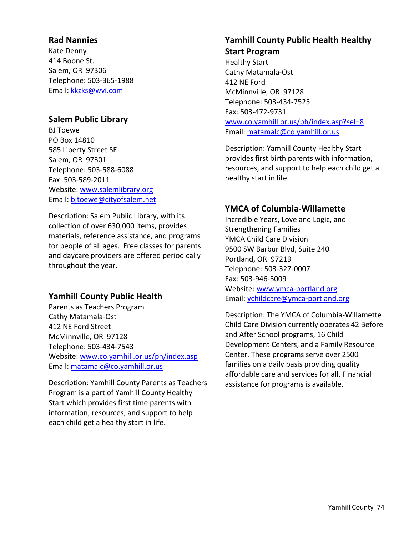# **Rad Nannies**

Kate Denny 414 Boone St. Salem, OR 97306 Telephone: 503‐365‐1988 Email: kkzks@wvi.com

# **Salem Public Library**

BJ Toewe PO Box 14810 585 Liberty Street SE Salem, OR 97301 Telephone: 503‐588‐6088 Fax: 503‐589‐2011 Website: www.salemlibrary.org Email: bjtoewe@cityofsalem.net

Description: Salem Public Library, with its collection of over 630,000 items, provides materials, reference assistance, and programs for people of all ages. Free classes for parents and daycare providers are offered periodically throughout the year.

# **Yamhill County Public Health**

Parents as Teachers Program Cathy Matamala‐Ost 412 NE Ford Street McMinnville, OR 97128 Telephone: 503‐434‐7543 Website: www.co.yamhill.or.us/ph/index.asp Email: matamalc@co.yamhill.or.us

Description: Yamhill County Parents as Teachers Program is a part of Yamhill County Healthy Start which provides first time parents with information, resources, and support to help each child get a healthy start in life.

# **Yamhill County Public Health Healthy**

**Start Program** Healthy Start Cathy Matamala‐Ost 412 NE Ford McMinnville, OR 97128 Telephone: 503‐434‐7525 Fax: 503‐472‐9731 www.co.yamhill.or.us/ph/index.asp?sel=8 Email: matamalc@co.yamhill.or.us

Description: Yamhill County Healthy Start provides first birth parents with information, resources, and support to help each child get a healthy start in life.

#### **YMCA of Columbia‐Willamette**

Incredible Years, Love and Logic, and Strengthening Families YMCA Child Care Division 9500 SW Barbur Blvd, Suite 240 Portland, OR 97219 Telephone: 503‐327‐0007 Fax: 503‐946‐5009 Website: www.ymca-portland.org Email: ychildcare@ymca‐portland.org

Description: The YMCA of Columbia‐Willamette Child Care Division currently operates 42 Before and After School programs, 16 Child Development Centers, and a Family Resource Center. These programs serve over 2500 families on a daily basis providing quality affordable care and services for all. Financial assistance for programs is available.